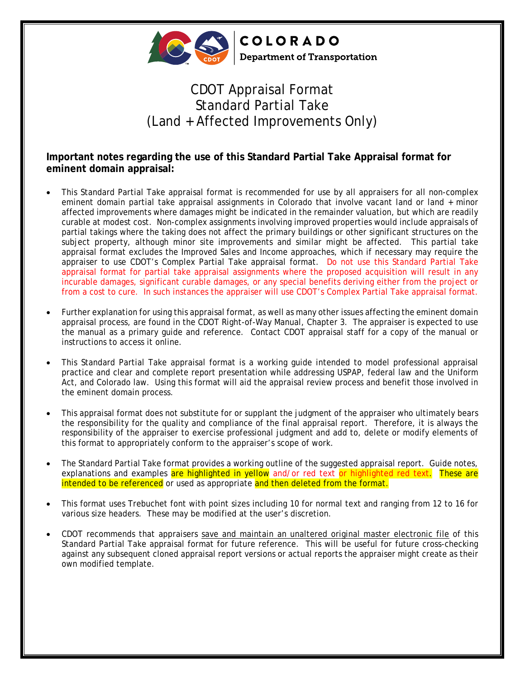

**COLORADO Department of Transportation** 

## CDOT Appraisal Format Standard Partial Take (Land + Affected Improvements Only)

**Important notes regarding the use of this Standard Partial Take Appraisal format for eminent domain appraisal:**

- This Standard Partial Take appraisal format is recommended for use by all appraisers for all non-complex eminent domain partial take appraisal assignments in Colorado that involve vacant land or land + minor affected improvements where damages might be indicated in the remainder valuation, but which are readily curable at modest cost. Non-complex assignments involving improved properties would include appraisals of partial takings where the taking does not affect the primary buildings or other significant structures on the subject property, although minor site improvements and similar might be affected. This partial take appraisal format excludes the Improved Sales and Income approaches, which if necessary may require the appraiser to use CDOT's Complex Partial Take appraisal format. Do not use this Standard Partial Take appraisal format for partial take appraisal assignments where the proposed acquisition will result in any incurable damages, significant curable damages, or any special benefits deriving either from the project or from a cost to cure. In such instances the appraiser will use CDOT's Complex Partial Take appraisal format.
- Further explanation for using this appraisal format, as well as many other issues affecting the eminent domain appraisal process, are found in the CDOT Right-of-Way Manual, Chapter 3. The appraiser is expected to use the manual as a primary guide and reference. Contact CDOT appraisal staff for a copy of the manual or instructions to access it online.
- This Standard Partial Take appraisal format is a working guide intended to model professional appraisal practice and clear and complete report presentation while addressing USPAP, federal law and the Uniform Act, and Colorado law. Using this format will aid the appraisal review process and benefit those involved in the eminent domain process.
- This appraisal format does not substitute for or supplant the judgment of the appraiser who ultimately bears the responsibility for the quality and compliance of the final appraisal report. Therefore, it is always the responsibility of the appraiser to exercise professional judgment and add to, delete or modify elements of this format to appropriately conform to the appraiser's scope of work.
- The Standard Partial Take format provides a working outline of the suggested appraisal report. Guide notes, explanations and examples are highlighted in yellow and/or red text or highlighted red text. These are intended to be referenced or used as appropriate and then deleted from the format.
- This format uses Trebuchet font with point sizes including 10 for normal text and ranging from 12 to 16 for various size headers. These may be modified at the user's discretion.
- CDOT recommends that appraisers save and maintain an unaltered original master electronic file of this Standard Partial Take appraisal format for future reference. This will be useful for future cross-checking against any subsequent cloned appraisal report versions or actual reports the appraiser might create as their own modified template.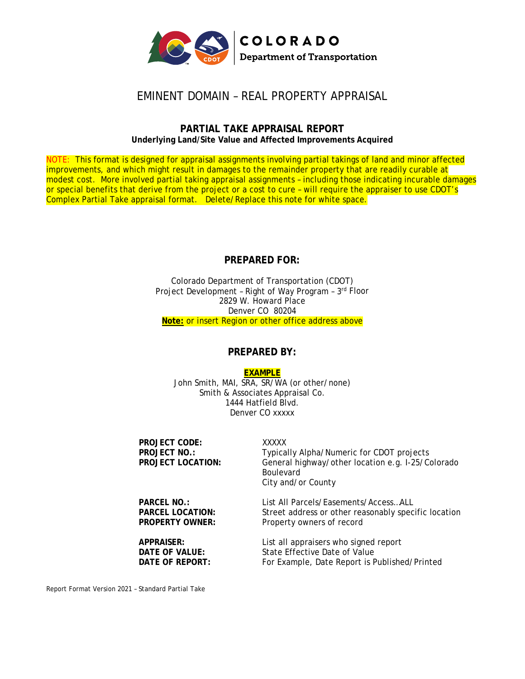

## EMINENT DOMAIN – REAL PROPERTY APPRAISAL

#### **PARTIAL TAKE APPRAISAL REPORT Underlying Land/Site Value and Affected Improvements Acquired**

NOTE: This format is designed for appraisal assignments involving partial takings of land and minor affected improvements, and which might result in damages to the remainder property that are readily curable at modest cost. More involved partial taking appraisal assignments – including those indicating incurable damages or special benefits that derive from the project or a cost to cure – will require the appraiser to use CDOT's Complex Partial Take appraisal format. Delete/Replace this note for white space.

### **PREPARED FOR:**

Colorado Department of Transportation (CDOT) Project Development – Right of Way Program – 3rd Floor 2829 W. Howard Place Denver CO 80204 **Note:** or insert Region or other office address above

#### **PREPARED BY:**

#### **EXAMPLE**

John Smith, MAI, SRA, SR/WA (or other/none) Smith & Associates Appraisal Co. 1444 Hatfield Blvd. Denver CO xxxxx

**PROJECT CODE:** XXXXX<br> **PROJECT NO.:** Typica **PROJECT NO.:** Typically Alpha/Numeric for CDOT projects<br> **PROJECT LOCATION:** General highway/other location e.g. I-25/C General highway/other location e.g. I-25/Colorado Boulevard City and/or County **PARCEL NO.:** List All Parcels/Easements/Access…ALL **PARCEL LOCATION:** Street address or other reasonably specific location **PROPERTY OWNER:** Property owners of record **APPRAISER:** List all appraisers who signed report **DATE OF VALUE:** State Effective Date of Value<br> **DATE OF REPORT:** For Example, Date Report is Formulated and the Catalogue of Value

For Example, Date Report is Published/Printed

Report Format Version 2021 – Standard Partial Take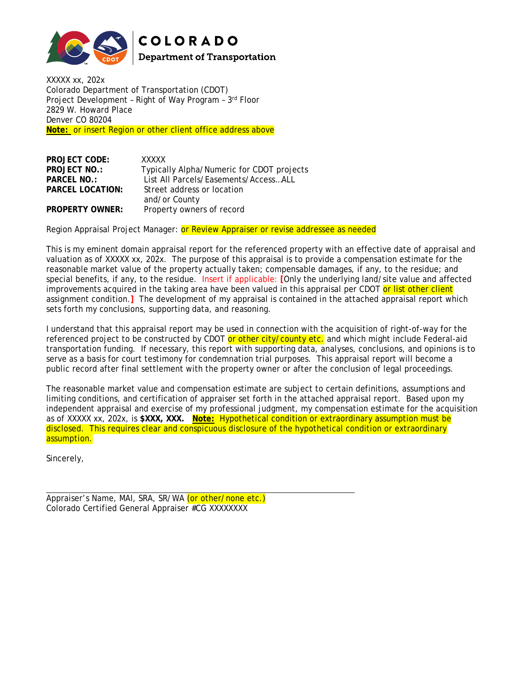

**COLORADO Department of Transportation** 

XXXXX xx, 202x Colorado Department of Transportation (CDOT) Project Development – Right of Way Program – 3rd Floor 2829 W. Howard Place Denver CO 80204 **Note:** or insert Region or other client office address above

| <b>PROJECT CODE:</b>    | XXXXX                                     |
|-------------------------|-------------------------------------------|
| <b>PROJECT NO.:</b>     | Typically Alpha/Numeric for CDOT projects |
| PARCEL NO.:             | List All Parcels/Easements/AccessALL      |
| <b>PARCEL LOCATION:</b> | Street address or location                |
|                         | and/or County                             |
| <b>PROPERTY OWNER:</b>  | Property owners of record                 |

Region Appraisal Project Manager: or Review Appraiser or revise addressee as needed

This is my eminent domain appraisal report for the referenced property with an effective date of appraisal and valuation as of XXXXX xx, 202x. The purpose of this appraisal is to provide a compensation estimate for the reasonable market value of the property actually taken; compensable damages, if any, to the residue; and special benefits, if any, to the residue. Insert if applicable: **[**Only the underlying land/site value and affected improvements acquired in the taking area have been valued in this appraisal per CDOT or list other client assignment condition.**]** The development of my appraisal is contained in the attached appraisal report which sets forth my conclusions, supporting data, and reasoning.

I understand that this appraisal report may be used in connection with the acquisition of right-of-way for the referenced project to be constructed by CDOT or other city/county etc. and which might include Federal-aid transportation funding. If necessary, this report with supporting data, analyses, conclusions, and opinions is to serve as a basis for court testimony for condemnation trial purposes. This appraisal report will become a public record after final settlement with the property owner or after the conclusion of legal proceedings.

The reasonable market value and compensation estimate are subject to certain definitions, assumptions and limiting conditions, and certification of appraiser set forth in the attached appraisal report. Based upon my independent appraisal and exercise of my professional judgment, my compensation estimate for the acquisition as of XXXXX xx, 202x, is **\$XXX, XXX. Note:** Hypothetical condition or extraordinary assumption must be disclosed. This requires clear and conspicuous disclosure of the hypothetical condition or extraordinary assumption.

Sincerely,

Appraiser's Name, MAI, SRA, SR/WA (or other/none etc.) Colorado Certified General Appraiser #CG XXXXXXXX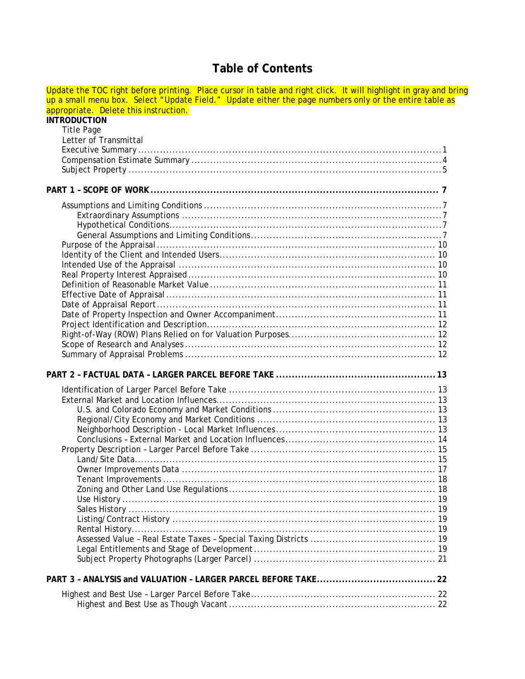## **Table of Contents**

| Update the TOC right before printing. Place cursor in table and right click. It will highlight in gray and bring |  |
|------------------------------------------------------------------------------------------------------------------|--|
| up a small menu box. Select "Update Field." Update either the page numbers only or the entire table as           |  |
| appropriate. Delete this instruction.                                                                            |  |
| <b>INTRODUCTION</b>                                                                                              |  |
| <b>Title Page</b>                                                                                                |  |
| Letter of Transmittal                                                                                            |  |
|                                                                                                                  |  |
|                                                                                                                  |  |
|                                                                                                                  |  |
|                                                                                                                  |  |
|                                                                                                                  |  |
|                                                                                                                  |  |
|                                                                                                                  |  |
|                                                                                                                  |  |
|                                                                                                                  |  |
|                                                                                                                  |  |
|                                                                                                                  |  |
|                                                                                                                  |  |
|                                                                                                                  |  |
|                                                                                                                  |  |
|                                                                                                                  |  |
|                                                                                                                  |  |
|                                                                                                                  |  |
|                                                                                                                  |  |
|                                                                                                                  |  |
|                                                                                                                  |  |
|                                                                                                                  |  |
|                                                                                                                  |  |
|                                                                                                                  |  |
|                                                                                                                  |  |
|                                                                                                                  |  |
|                                                                                                                  |  |
|                                                                                                                  |  |
|                                                                                                                  |  |
|                                                                                                                  |  |
|                                                                                                                  |  |
|                                                                                                                  |  |
|                                                                                                                  |  |
|                                                                                                                  |  |
|                                                                                                                  |  |
|                                                                                                                  |  |
|                                                                                                                  |  |
|                                                                                                                  |  |
|                                                                                                                  |  |
|                                                                                                                  |  |
|                                                                                                                  |  |
|                                                                                                                  |  |
|                                                                                                                  |  |
|                                                                                                                  |  |
|                                                                                                                  |  |
|                                                                                                                  |  |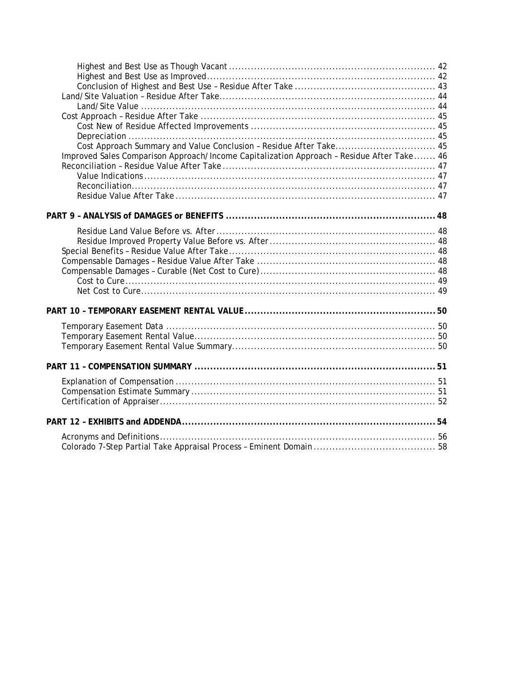| Cost Approach Summary and Value Conclusion - Residue After Take 45                        |  |
|-------------------------------------------------------------------------------------------|--|
| Improved Sales Comparison Approach/Income Capitalization Approach - Residue After Take 46 |  |
|                                                                                           |  |
|                                                                                           |  |
|                                                                                           |  |
|                                                                                           |  |
|                                                                                           |  |
|                                                                                           |  |
|                                                                                           |  |
|                                                                                           |  |
|                                                                                           |  |
|                                                                                           |  |
|                                                                                           |  |
|                                                                                           |  |
|                                                                                           |  |
|                                                                                           |  |
|                                                                                           |  |
|                                                                                           |  |
|                                                                                           |  |
|                                                                                           |  |
|                                                                                           |  |
|                                                                                           |  |
|                                                                                           |  |
|                                                                                           |  |
|                                                                                           |  |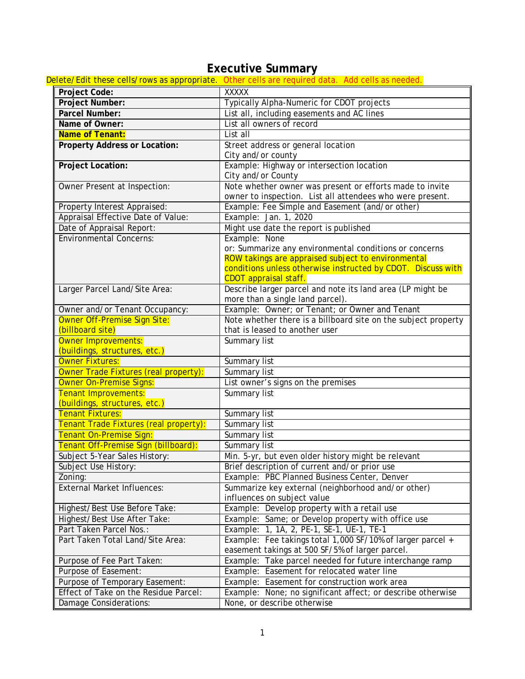## **Executive Summary**

<span id="page-6-0"></span>

|                                        | Delete/Edit these cells/rows as appropriate. Other cells are required data. Add cells as needed. |
|----------------------------------------|--------------------------------------------------------------------------------------------------|
| Project Code:                          | <b>XXXXX</b>                                                                                     |
| Project Number:                        | Typically Alpha-Numeric for CDOT projects                                                        |
| Parcel Number:                         | List all, including easements and AC lines                                                       |
| Name of Owner:                         | List all owners of record                                                                        |
| Name of Tenant:                        | List all                                                                                         |
| <b>Property Address or Location:</b>   | Street address or general location                                                               |
|                                        | City and/or county                                                                               |
| Project Location:                      | Example: Highway or intersection location                                                        |
|                                        | City and/or County                                                                               |
| Owner Present at Inspection:           | Note whether owner was present or efforts made to invite                                         |
|                                        | owner to inspection. List all attendees who were present.                                        |
| Property Interest Appraised:           | Example: Fee Simple and Easement (and/or other)                                                  |
| Appraisal Effective Date of Value:     | Example: Jan. 1, 2020                                                                            |
| Date of Appraisal Report:              | Might use date the report is published                                                           |
| <b>Environmental Concerns:</b>         | Example: None                                                                                    |
|                                        | or: Summarize any environmental conditions or concerns                                           |
|                                        | ROW takings are appraised subject to environmental                                               |
|                                        | conditions unless otherwise instructed by CDOT. Discuss with                                     |
|                                        | CDOT appraisal staff.                                                                            |
| Larger Parcel Land/Site Area:          | Describe larger parcel and note its land area (LP might be                                       |
|                                        | more than a single land parcel).                                                                 |
| Owner and/or Tenant Occupancy:         | Example: Owner; or Tenant; or Owner and Tenant                                                   |
| Owner Off-Premise Sign Site:           | Note whether there is a billboard site on the subject property                                   |
| (billboard site)                       | that is leased to another user                                                                   |
| <b>Owner Improvements:</b>             | Summary list                                                                                     |
| (buildings, structures, etc.)          |                                                                                                  |
| <b>Owner Fixtures:</b>                 | Summary list                                                                                     |
| Owner Trade Fixtures (real property):  | Summary list                                                                                     |
| Owner On-Premise Signs:                | List owner's signs on the premises                                                               |
| Tenant Improvements:                   | Summary list                                                                                     |
| (buildings, structures, etc.)          |                                                                                                  |
| <b>Tenant Fixtures:</b>                | Summary list                                                                                     |
| Tenant Trade Fixtures (real property): | Summary list                                                                                     |
| Tenant On-Premise Sign:                | Summary list                                                                                     |
| Tenant Off-Premise Sign (billboard):   | Summary list                                                                                     |
| Subject 5-Year Sales History:          | Min. 5-yr, but even older history might be relevant                                              |
| Subject Use History:                   | Brief description of current and/or prior use                                                    |
| Zoning:                                | Example: PBC Planned Business Center, Denver                                                     |
| <b>External Market Influences:</b>     | Summarize key external (neighborhood and/or other)                                               |
|                                        | influences on subject value                                                                      |
| Highest/Best Use Before Take:          | Example: Develop property with a retail use                                                      |
| Highest/Best Use After Take:           | Example: Same; or Develop property with office use                                               |
| Part Taken Parcel Nos.:                | Example: 1, 1A, 2, PE-1, SE-1, UE-1, TE-1                                                        |
| Part Taken Total Land/Site Area:       | Example: Fee takings total 1,000 SF/10% of larger parcel +                                       |
|                                        | easement takings at 500 SF/5% of larger parcel.                                                  |
| Purpose of Fee Part Taken:             | Example: Take parcel needed for future interchange ramp                                          |
| Purpose of Easement:                   | Example: Easement for relocated water line                                                       |
| Purpose of Temporary Easement:         | Example: Easement for construction work area                                                     |
| Effect of Take on the Residue Parcel:  | Example: None; no significant affect; or describe otherwise                                      |
| Damage Considerations:                 | None, or describe otherwise                                                                      |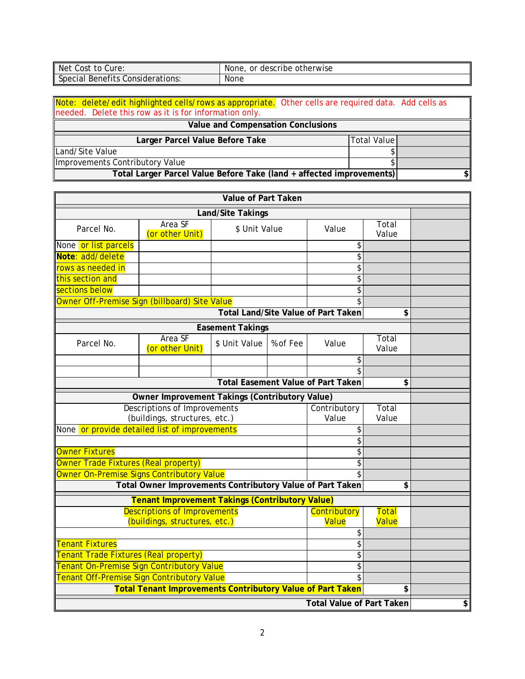| <b>Net</b>                             | gescribe otherwise * |
|----------------------------------------|----------------------|
| to Cure:                               | or                   |
| Cost                                   | None.                |
| Benefits<br>Special<br>Considerations: | None                 |

|                                                        | Note: delete/edit highlighted cells/rows as appropriate. Other cells are required data. Add cells as |  |
|--------------------------------------------------------|------------------------------------------------------------------------------------------------------|--|
| needed. Delete this row as it is for information only. |                                                                                                      |  |
|                                                        |                                                                                                      |  |

| Value and Compensation Conclusions                                   |     |  |  |  |  |
|----------------------------------------------------------------------|-----|--|--|--|--|
| Total Value<br>Larger Parcel Value Before Take                       |     |  |  |  |  |
| Land/Site Value                                                      |     |  |  |  |  |
| Improvements Contributory Value                                      |     |  |  |  |  |
| Total Larger Parcel Value Before Take (land + affected improvements) | \$l |  |  |  |  |

| Value of Part Taken                                                                                                    |                                                           |                         |                       |                                           |                             |  |
|------------------------------------------------------------------------------------------------------------------------|-----------------------------------------------------------|-------------------------|-----------------------|-------------------------------------------|-----------------------------|--|
| Land/Site Takings                                                                                                      |                                                           |                         |                       |                                           |                             |  |
| Parcel No.                                                                                                             | Area SF<br>(or other Unit)                                | \$ Unit Value           |                       | Value                                     | Total<br>Value              |  |
| None or list parcels                                                                                                   |                                                           |                         |                       | \$                                        |                             |  |
| Note: add/delete                                                                                                       |                                                           |                         |                       | \$                                        |                             |  |
| rows as needed in                                                                                                      |                                                           |                         |                       | \$                                        |                             |  |
| this section and                                                                                                       |                                                           |                         |                       | \$                                        |                             |  |
| sections below                                                                                                         |                                                           |                         |                       | \$                                        |                             |  |
| Owner Off-Premise Sign (billboard) Site Value                                                                          |                                                           |                         |                       | \$                                        |                             |  |
|                                                                                                                        |                                                           |                         |                       | Total Land/Site Value of Part Taken       | \$                          |  |
|                                                                                                                        |                                                           | <b>Easement Takings</b> |                       |                                           |                             |  |
| Parcel No.                                                                                                             | Area SF<br>(or other Unit)                                | \$ Unit Value           | % of Fee              | Value                                     | Total<br>Value              |  |
|                                                                                                                        |                                                           |                         |                       | \$                                        |                             |  |
|                                                                                                                        |                                                           |                         |                       |                                           |                             |  |
|                                                                                                                        |                                                           |                         |                       | <b>Total Easement Value of Part Taken</b> | \$                          |  |
|                                                                                                                        | Owner Improvement Takings (Contributory Value)            |                         |                       |                                           |                             |  |
| <b>Descriptions of Improvements</b><br>(buildings, structures, etc.)                                                   |                                                           |                         | Contributory<br>Value | Total<br>Value                            |                             |  |
| None or provide detailed list of improvements<br>\$                                                                    |                                                           |                         |                       |                                           |                             |  |
|                                                                                                                        |                                                           |                         |                       | \$                                        |                             |  |
| <b>Owner Fixtures</b>                                                                                                  |                                                           |                         |                       | \$                                        |                             |  |
| Owner Trade Fixtures (Real property)                                                                                   |                                                           |                         |                       | \$                                        |                             |  |
| Owner On-Premise Signs Contributory Value                                                                              |                                                           |                         |                       | \$                                        |                             |  |
|                                                                                                                        | Total Owner Improvements Contributory Value of Part Taken |                         |                       |                                           | \$                          |  |
|                                                                                                                        | <b>Tenant Improvement Takings (Contributory Value)</b>    |                         |                       |                                           |                             |  |
| <b>Descriptions of Improvements</b><br>Contributory<br><b>Total</b><br>(buildings, structures, etc.)<br>Value<br>Value |                                                           |                         |                       |                                           |                             |  |
| \$                                                                                                                     |                                                           |                         |                       |                                           |                             |  |
| \$<br><b>Tenant Fixtures</b>                                                                                           |                                                           |                         |                       |                                           |                             |  |
| Tenant Trade Fixtures (Real property)                                                                                  |                                                           |                         |                       | \$                                        |                             |  |
| Tenant On-Premise Sign Contributory Value                                                                              |                                                           |                         |                       | \$                                        |                             |  |
| Tenant Off-Premise Sign Contributory Value<br>\$                                                                       |                                                           |                         |                       |                                           |                             |  |
| <b>Total Tenant Improvements Contributory Value of Part Taken</b><br>\$                                                |                                                           |                         |                       |                                           |                             |  |
| <b>Total Value of Part Taken</b>                                                                                       |                                                           |                         |                       |                                           | $\left  \mathbf{S} \right $ |  |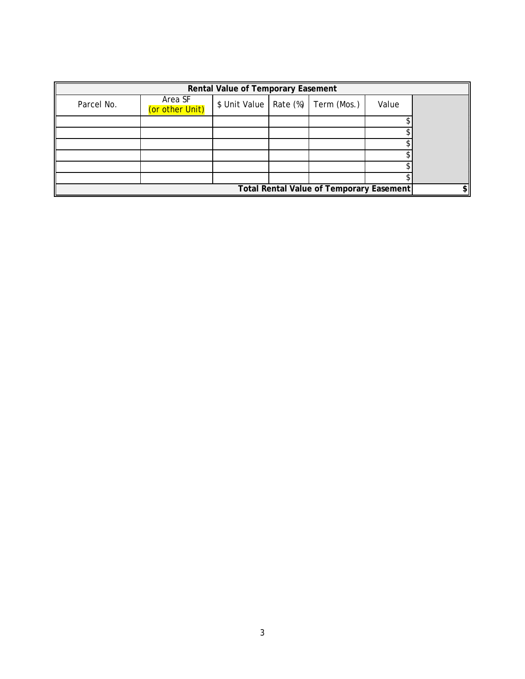|                                                 | Rental Value of Temporary Easement |                          |  |             |       |  |
|-------------------------------------------------|------------------------------------|--------------------------|--|-------------|-------|--|
| Parcel No.                                      | Area SF<br>(or other Unit)         | \$ Unit Value   Rate (%) |  | Term (Mos.) | Value |  |
|                                                 |                                    |                          |  |             |       |  |
|                                                 |                                    |                          |  |             |       |  |
|                                                 |                                    |                          |  |             |       |  |
|                                                 |                                    |                          |  |             |       |  |
|                                                 |                                    |                          |  |             |       |  |
|                                                 |                                    |                          |  |             |       |  |
| <b>Total Rental Value of Temporary Easement</b> |                                    |                          |  |             | \$l   |  |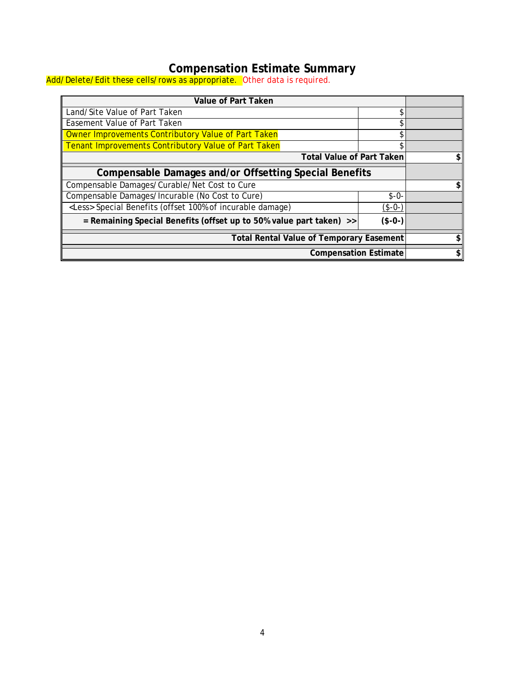## **Compensation Estimate Summary**

<span id="page-9-0"></span>Add/Delete/Edit these cells/rows as appropriate. Other data is required.

| Value of Part Taken                                                             |          |    |  |  |
|---------------------------------------------------------------------------------|----------|----|--|--|
| Land/Site Value of Part Taken                                                   | \$       |    |  |  |
| <b>Easement Value of Part Taken</b>                                             | ፍ        |    |  |  |
| Owner Improvements Contributory Value of Part Taken                             |          |    |  |  |
| Tenant Improvements Contributory Value of Part Taken                            |          |    |  |  |
| <b>Total Value of Part Taken</b>                                                |          | \$ |  |  |
| Compensable Damages and/or Offsetting Special Benefits                          |          |    |  |  |
| Compensable Damages/Curable/Net Cost to Cure                                    |          |    |  |  |
| Compensable Damages/Incurable (No Cost to Cure)                                 | $$ -0-$  |    |  |  |
| <less> Special Benefits (offset 100% of incurable damage)</less>                | $(*-0-)$ |    |  |  |
| = Remaining Special Benefits (offset up to 50% value part taken) >><br>$($-0-)$ |          |    |  |  |
| <b>Total Rental Value of Temporary Easement</b>                                 |          |    |  |  |
| <b>Compensation Estimate</b>                                                    |          |    |  |  |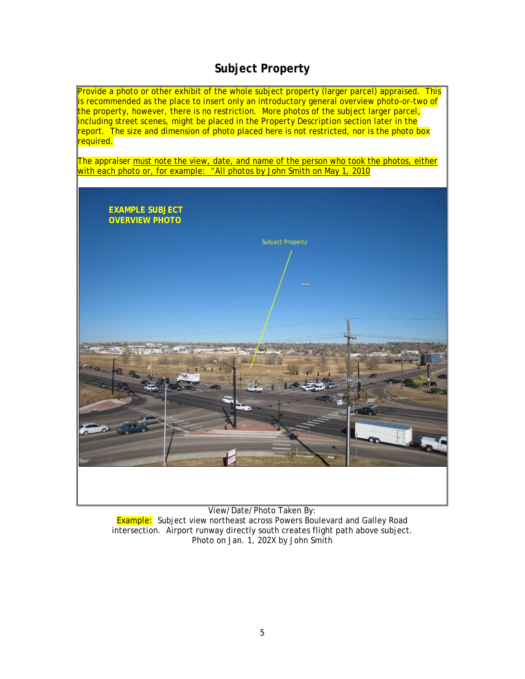## **Subject Property**

<span id="page-10-0"></span>

View/Date/Photo Taken By: **Example:** Subject view northeast across Powers Boulevard and Galley Road intersection. Airport runway directly south creates flight path above subject. Photo on Jan. 1, 202X by John Smith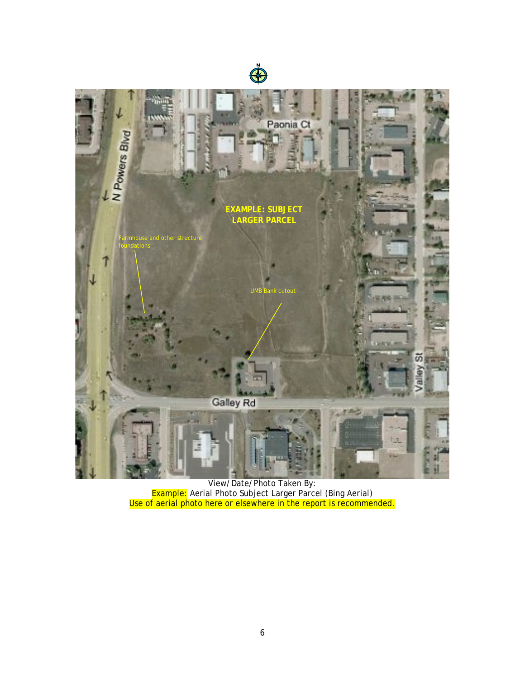



View/Date/Photo Taken By: Example: Aerial Photo Subject Larger Parcel (Bing Aerial) Use of aerial photo here or elsewhere in the report is recommended.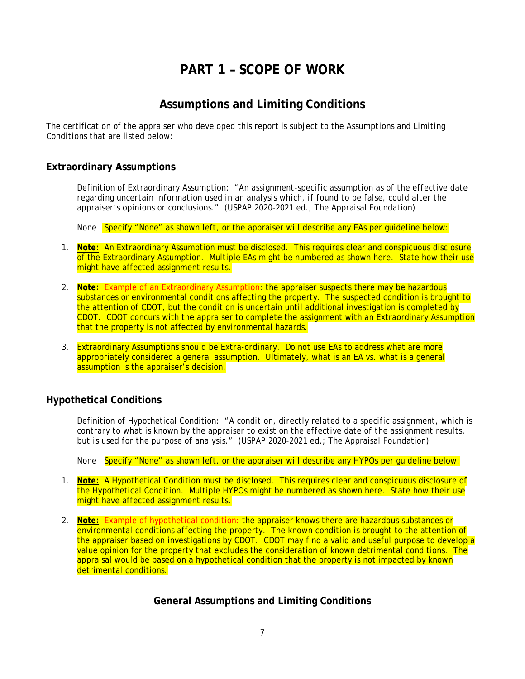## **PART 1 – SCOPE OF WORK**

## **Assumptions and Limiting Conditions**

<span id="page-12-1"></span><span id="page-12-0"></span>The certification of the appraiser who developed this report is subject to the *Assumptions and Limiting Conditions* that are listed below:

#### <span id="page-12-2"></span>**Extraordinary Assumptions**

Definition of Extraordinary Assumption: "*An assignment-specific assumption as of the effective date regarding uncertain information used in an analysis which, if found to be false, could alter the appraiser's opinions or conclusions."* (USPAP 2020-2021 ed.; The Appraisal Foundation)

None Specify "None" as shown left, or the appraiser will describe any EAs per quideline below:

- 1. **Note:** An Extraordinary Assumption must be disclosed. This requires clear and conspicuous disclosure of the Extraordinary Assumption. Multiple EAs might be numbered as shown here. State how their use might have affected assignment results.
- 2. **Note:** Example of an Extraordinary Assumption: the appraiser suspects there may be hazardous substances or environmental conditions affecting the property. The suspected condition is brought to the attention of CDOT, but the condition is uncertain until additional investigation is completed by CDOT. CDOT concurs with the appraiser to complete the assignment with an Extraordinary Assumption that the property is not affected by environmental hazards.
- 3. Extraordinary Assumptions should be *Extra-ordinary.* Do not use EAs to address what are more appropriately considered a general assumption. Ultimately, what is an EA vs. what is a general assumption is the appraiser's decision.

#### <span id="page-12-3"></span>**Hypothetical Conditions**

Definition of Hypothetical Condition: "*A condition, directly related to a specific assignment, which is contrary to what is known by the appraiser to exist on the effective date of the assignment results, but is used for the purpose of analysis."* (USPAP 2020-2021 ed.; The Appraisal Foundation)

None Specify "None" as shown left, or the appraiser will describe any HYPOs per quideline below:

- 1. **Note:** A Hypothetical Condition must be disclosed. This requires clear and conspicuous disclosure of the Hypothetical Condition. Multiple HYPOs might be numbered as shown here. State how their use might have affected assignment results.
- <span id="page-12-4"></span>2. **Note:** Example of hypothetical condition: the appraiser knows there are hazardous substances or environmental conditions affecting the property. The known condition is brought to the attention of the appraiser based on investigations by CDOT. CDOT may find a valid and useful purpose to develop a value opinion for the property that excludes the consideration of known detrimental conditions. The appraisal would be based on a hypothetical condition that the property is not impacted by known detrimental conditions.

#### **General Assumptions and Limiting Conditions**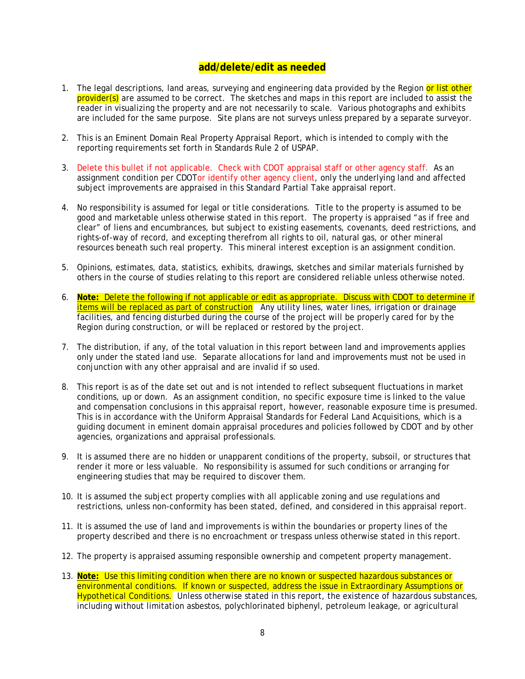### **add/delete/edit as needed**

- 1. The legal descriptions, land areas, surveying and engineering data provided by the Region or list other provider(s) are assumed to be correct. The sketches and maps in this report are included to assist the reader in visualizing the property and are not necessarily to scale. Various photographs and exhibits are included for the same purpose. Site plans are not surveys unless prepared by a separate surveyor.
- 2. This is an Eminent Domain Real Property Appraisal Report, which is intended to comply with the reporting requirements set forth in Standards Rule 2 of USPAP.
- 3. Delete this bullet if not applicable. Check with CDOT appraisal staff or other agency staff. As an assignment condition per CDOTor identify other agency client, only the underlying land and affected subject improvements are appraised in this Standard Partial Take appraisal report.
- 4. No responsibility is assumed for legal or title considerations. Title to the property is assumed to be good and marketable unless otherwise stated in this report. The property is appraised "as if free and clear" of liens and encumbrances, but subject to existing easements, covenants, deed restrictions, and rights-of-way of record, and excepting therefrom all rights to oil, natural gas, or other mineral resources beneath such real property. This mineral interest exception is an assignment condition.
- 5. Opinions, estimates, data, statistics, exhibits, drawings, sketches and similar materials furnished by others in the course of studies relating to this report are considered reliable unless otherwise noted.
- 6. **Note:** Delete the following if not applicable or edit as appropriate. Discuss with CDOT to determine if items will be replaced as part of construction Any utility lines, water lines, irrigation or drainage facilities, and fencing disturbed during the course of the project will be properly cared for by the Region during construction, or will be replaced or restored by the project.
- 7. The distribution, if any, of the total valuation in this report between land and improvements applies only under the stated land use. Separate allocations for land and improvements must not be used in conjunction with any other appraisal and are invalid if so used.
- 8. This report is as of the date set out and is not intended to reflect subsequent fluctuations in market conditions, up or down. As an assignment condition, no specific exposure time is linked to the value and compensation conclusions in this appraisal report, however, reasonable exposure time is presumed. This is in accordance with the Uniform Appraisal Standards for Federal Land Acquisitions, which is a guiding document in eminent domain appraisal procedures and policies followed by CDOT and by other agencies, organizations and appraisal professionals.
- 9. It is assumed there are no hidden or unapparent conditions of the property, subsoil, or structures that render it more or less valuable. No responsibility is assumed for such conditions or arranging for engineering studies that may be required to discover them.
- 10. It is assumed the subject property complies with all applicable zoning and use regulations and restrictions, unless non-conformity has been stated, defined, and considered in this appraisal report.
- 11. It is assumed the use of land and improvements is within the boundaries or property lines of the property described and there is no encroachment or trespass unless otherwise stated in this report.
- 12. The property is appraised assuming responsible ownership and competent property management.
- 13. **Note:** Use this limiting condition when there are no known or suspected hazardous substances or environmental conditions. If known or suspected, address the issue in Extraordinary Assumptions or Hypothetical Conditions. Unless otherwise stated in this report, the existence of hazardous substances, including without limitation asbestos, polychlorinated biphenyl, petroleum leakage, or agricultural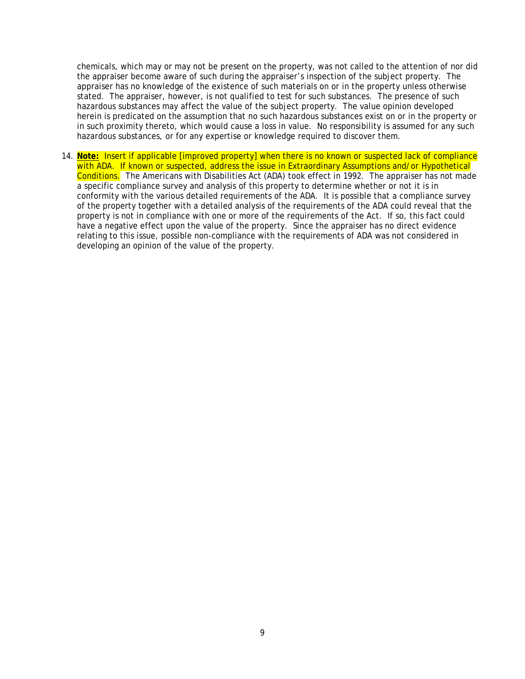chemicals, which may or may not be present on the property, was not called to the attention of nor did the appraiser become aware of such during the appraiser's inspection of the subject property. The appraiser has no knowledge of the existence of such materials on or in the property unless otherwise stated. The appraiser, however, is not qualified to test for such substances. The presence of such hazardous substances may affect the value of the subject property. The value opinion developed herein is predicated on the assumption that no such hazardous substances exist on or in the property or in such proximity thereto, which would cause a loss in value. No responsibility is assumed for any such hazardous substances, or for any expertise or knowledge required to discover them.

14. **Note:** Insert if applicable [improved property] when there is no known or suspected lack of compliance with ADA. If known or suspected, address the issue in Extraordinary Assumptions and/or Hypothetical Conditions. The Americans with Disabilities Act (ADA) took effect in 1992. The appraiser has not made a specific compliance survey and analysis of this property to determine whether or not it is in conformity with the various detailed requirements of the ADA. It is possible that a compliance survey of the property together with a detailed analysis of the requirements of the ADA could reveal that the property is not in compliance with one or more of the requirements of the Act. If so, this fact could have a negative effect upon the value of the property. Since the appraiser has no direct evidence relating to this issue, possible non-compliance with the requirements of ADA was not considered in developing an opinion of the value of the property.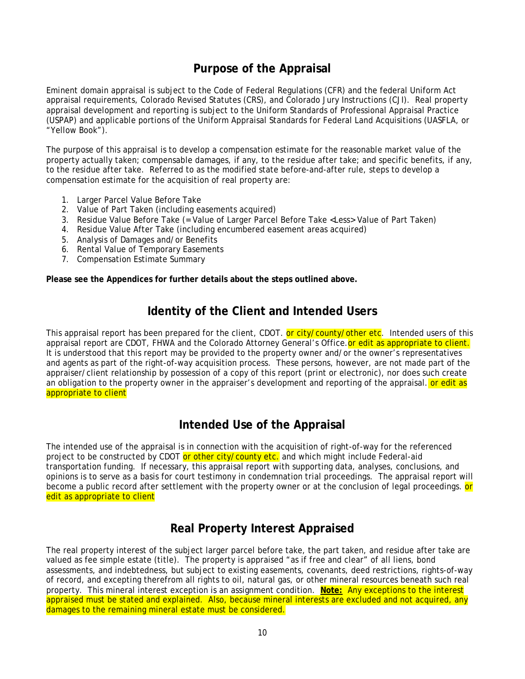## **Purpose of the Appraisal**

<span id="page-15-0"></span>Eminent domain appraisal is subject to the Code of Federal Regulations (CFR) and the federal Uniform Act appraisal requirements, Colorado Revised Statutes (CRS), and Colorado Jury Instructions (CJI). Real property appraisal development and reporting is subject to the Uniform Standards of Professional Appraisal Practice (USPAP) and applicable portions of the Uniform Appraisal Standards for Federal Land Acquisitions (UASFLA, or "Yellow Book").

The purpose of this appraisal is to develop a compensation estimate for the reasonable market value of the property actually taken; compensable damages, if any, to the residue after take; and specific benefits, if any, to the residue after take. Referred to as the modified state before-and-after rule, steps to develop a compensation estimate for the acquisition of real property are:

- 1. Larger Parcel Value Before Take
- 2. Value of Part Taken (including easements acquired)
- 3. Residue Value Before Take (= Value of Larger Parcel Before Take <Less> Value of Part Taken)
- 4. Residue Value After Take (including encumbered easement areas acquired)
- 5. Analysis of Damages and/or Benefits
- 6. Rental Value of Temporary Easements
- 7. Compensation Estimate Summary

**Please see the Appendices for further details about the steps outlined above.**

## **Identity of the Client and Intended Users**

<span id="page-15-1"></span>This appraisal report has been prepared for the client, CDOT. or city/county/other etc. Intended users of this appraisal report are CDOT, FHWA and the Colorado Attorney General's Office. or edit as appropriate to client. It is understood that this report may be provided to the property owner and/or the owner's representatives and agents as part of the right-of-way acquisition process. These persons, however, are not made part of the appraiser/client relationship by possession of a copy of this report (print or electronic), nor does such create an obligation to the property owner in the appraiser's development and reporting of the appraisal. **or edit as** appropriate to client

## **Intended Use of the Appraisal**

<span id="page-15-2"></span>The intended use of the appraisal is in connection with the acquisition of right-of-way for the referenced project to be constructed by CDOT or other city/county etc. and which might include Federal-aid transportation funding. If necessary, this appraisal report with supporting data, analyses, conclusions, and opinions is to serve as a basis for court testimony in condemnation trial proceedings. The appraisal report will become a public record after settlement with the property owner or at the conclusion of legal proceedings. **or** edit as appropriate to client

## **Real Property Interest Appraised**

<span id="page-15-3"></span>The real property interest of the subject larger parcel before take, the part taken, and residue after take are valued as fee simple estate (title). The property is appraised "as if free and clear" of all liens, bond assessments, and indebtedness, but subject to existing easements, covenants, deed restrictions, rights-of-way of record, and excepting therefrom all rights to oil, natural gas, or other mineral resources beneath such real property. This mineral interest exception is an assignment condition. **Note:** Any exceptions to the interest appraised must be stated and explained. Also, because mineral interests are excluded and not acquired, any damages to the remaining mineral estate must be considered.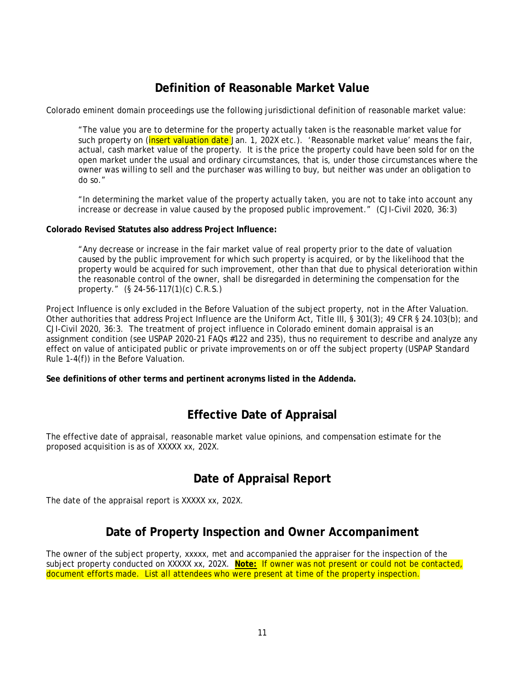## **Definition of Reasonable Market Value**

<span id="page-16-0"></span>Colorado eminent domain proceedings use the following jurisdictional definition of reasonable market value:

"The value you are to determine for the property actually taken is the reasonable market value for such property on (insert valuation date Jan. 1, 202X etc.). 'Reasonable market value' means the fair, actual, cash market value of the property. It is the price the property could have been sold for on the open market under the usual and ordinary circumstances, that is, under those circumstances where the owner was willing to sell and the purchaser was willing to buy, but neither was under an obligation to do so."

"In determining the market value of the property actually taken, you are not to take into account any increase or decrease in value caused by the proposed public improvement." (CJI-Civil 2020, 36:3)

#### **Colorado Revised Statutes also address Project Influence:**

"Any decrease or increase in the fair market value of real property prior to the date of valuation caused by the public improvement for which such property is acquired, or by the likelihood that the property would be acquired for such improvement, other than that due to physical deterioration within the reasonable control of the owner, shall be disregarded in determining the compensation for the property." (§ 24-56-117(1)(c) C.R.S.)

Project Influence is only excluded in the Before Valuation of the subject property, not in the After Valuation. Other authorities that address Project Influence are the Uniform Act, Title III, § 301(3); 49 CFR § 24.103(b); and CJI-Civil 2020, 36:3. The treatment of project influence in Colorado eminent domain appraisal is an assignment condition (see USPAP 2020-21 FAQs #122 and 235), thus no requirement to describe and analyze any effect on value of anticipated public or private improvements on or off the subject property (USPAP Standard Rule 1-4(f)) in the Before Valuation.

**See definitions of other terms and pertinent acronyms listed in the Addenda.**

## **Effective Date of Appraisal**

<span id="page-16-1"></span>The effective date of appraisal, reasonable market value opinions, and compensation estimate for the proposed acquisition is as of XXXXX xx, 202X.

## **Date of Appraisal Report**

<span id="page-16-2"></span>The date of the appraisal report is XXXXX xx, 202X.

## **Date of Property Inspection and Owner Accompaniment**

<span id="page-16-3"></span>The owner of the subject property, xxxxx, met and accompanied the appraiser for the inspection of the subject property conducted on XXXXX xx, 202X. **Note:** If owner was not present or could not be contacted, document efforts made. List all attendees who were present at time of the property inspection.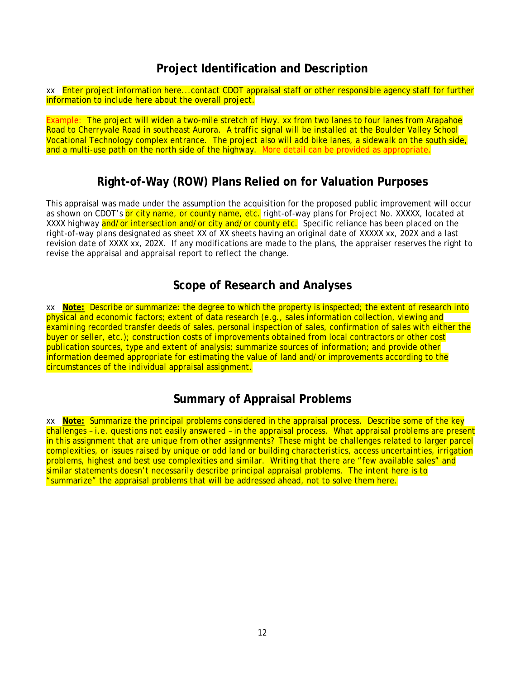## **Project Identification and Description**

<span id="page-17-0"></span>xx Enter project information here...contact CDOT appraisal staff or other responsible agency staff for further information to include here about the overall project.

Example: The project will widen a two-mile stretch of Hwy. xx from two lanes to four lanes from Arapahoe Road to Cherryvale Road in southeast Aurora. A traffic signal will be installed at the Boulder Valley School Vocational Technology complex entrance. The project also will add bike lanes, a sidewalk on the south side, and a multi-use path on the north side of the highway. More detail can be provided as appropriate.

## **Right-of-Way (ROW) Plans Relied on for Valuation Purposes**

<span id="page-17-1"></span>This appraisal was made under the assumption the acquisition for the proposed public improvement will occur as shown on CDOT's or city name, or county name, etc. right-of-way plans for Project No. XXXXX, located at XXXX highway and/or intersection and/or city and/or county etc. Specific reliance has been placed on the right-of-way plans designated as sheet XX of XX sheets having an original date of XXXXX xx, 202X and a last revision date of XXXX xx, 202X. If any modifications are made to the plans, the appraiser reserves the right to revise the appraisal and appraisal report to reflect the change.

## **Scope of Research and Analyses**

<span id="page-17-2"></span>xx **Note:** Describe or summarize: the degree to which the property is inspected; the extent of research into physical and economic factors; extent of data research (e.g., sales information collection, viewing and examining recorded transfer deeds of sales, personal inspection of sales, confirmation of sales with either the buyer or seller, etc.); construction costs of improvements obtained from local contractors or other cost publication sources, type and extent of analysis; summarize sources of information; and provide other information deemed appropriate for estimating the value of land and/or improvements according to the circumstances of the individual appraisal assignment.

## **Summary of Appraisal Problems**

<span id="page-17-3"></span>xx **Note:** Summarize the principal problems considered in the appraisal process. Describe some of the key challenges – i.e. questions not easily answered – in the appraisal process. What appraisal problems are present in this assignment that are unique from other assignments? These might be challenges related to larger parcel complexities, or issues raised by unique or odd land or building characteristics, access uncertainties, irrigation problems, highest and best use complexities and similar. Writing that there are "few available sales" and similar statements doesn't necessarily describe principal appraisal problems. The intent here is to "summarize" the appraisal problems that will be addressed ahead, not to solve them here.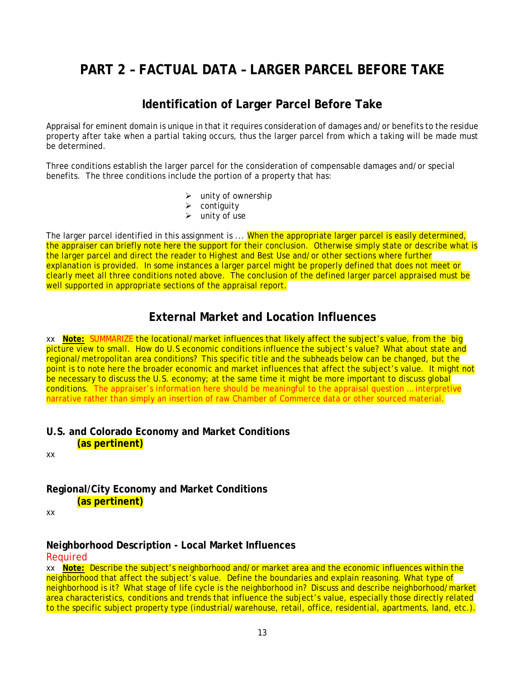## <span id="page-18-0"></span>**PART 2 – FACTUAL DATA – LARGER PARCEL BEFORE TAKE**

## **Identification of Larger Parcel Before Take**

<span id="page-18-1"></span>Appraisal for eminent domain is unique in that it requires consideration of damages and/or benefits to the residue property after take when a partial taking occurs, thus the larger parcel from which a taking will be made must be determined.

Three conditions establish the larger parcel for the consideration of compensable damages and/or special benefits. The three conditions include the portion of a property that has:

- $\triangleright$  unity of ownership
- $\triangleright$  contiguity
- $\triangleright$  unity of use

The larger parcel identified in this assignment is ... When the appropriate larger parcel is easily determined, the appraiser can briefly note here the support for their conclusion. Otherwise simply state or describe what is the larger parcel and direct the reader to *Highest and Best Use* and/or other sections where further explanation is provided. In some instances a larger parcel might be properly defined that does not meet or clearly meet all three conditions noted above. The conclusion of the defined larger parcel appraised must be well supported in appropriate sections of the appraisal report.

## **External Market and Location Influences**

<span id="page-18-2"></span>xx **Note:** SUMMARIZE the locational/market influences that likely affect the subject's value, from the big picture view to small. How do U.S economic conditions influence the subject's value? What about state and regional/metropolitan area conditions? This specific title and the subheads below can be changed, but the point is to note here the broader economic and market influences that affect the subject's value. It might not be necessary to discuss the U.S. economy; at the same time it might be more important to discuss global conditions. The appraiser's information here should be meaningful to the appraisal question … interpretive narrative rather than simply an insertion of raw Chamber of Commerce data or other sourced material.

### <span id="page-18-3"></span>**U.S. and Colorado Economy and Market Conditions (as pertinent)**

xx

<span id="page-18-4"></span>**Regional/City Economy and Market Conditions (as pertinent)**

xx

### <span id="page-18-5"></span>**Neighborhood Description - Local Market Influences**

#### **Required**

xx **Note:** Describe the subject's neighborhood and/or market area and the economic influences within the neighborhood that affect the subject's value. Define the boundaries and explain reasoning. What type of neighborhood is it? What stage of life cycle is the neighborhood in? Discuss and describe neighborhood/market area characteristics, conditions and trends that influence the subject's value, especially those directly related to the specific subject property type (industrial/warehouse, retail, office, residential, apartments, land, etc.).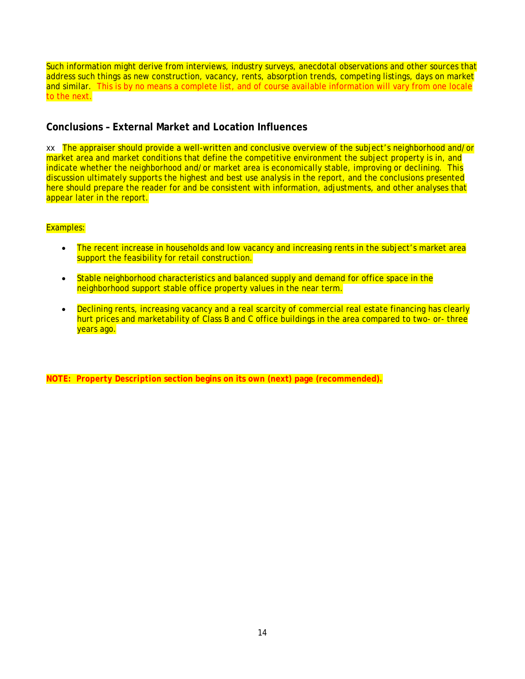Such information might derive from interviews, industry surveys, anecdotal observations and other sources that address such things as new construction, vacancy, rents, absorption trends, competing listings, days on market and similar. This is by no means a complete list, and of course available information will vary from one locale to the next.

### <span id="page-19-0"></span>**Conclusions – External Market and Location Influences**

xx The appraiser should provide a well-written and conclusive overview of the subject's neighborhood and/or market area and market conditions that define the competitive environment the subject property is in, and indicate whether the neighborhood and/or market area is economically stable, improving or declining. This discussion ultimately supports the highest and best use analysis in the report, and the conclusions presented here should prepare the reader for and be consistent with information, adjustments, and other analyses that appear later in the report.

#### Examples:

- The recent increase in households and low vacancy and increasing rents in the subject's market area support the feasibility for retail construction.
- Stable neighborhood characteristics and balanced supply and demand for office space in the neighborhood support stable office property values in the near term.
- Declining rents, increasing vacancy and a real scarcity of commercial real estate financing has clearly hurt prices and marketability of Class B and C office buildings in the area compared to two- or- three years ago.

**NOTE:** *Property Description* **section begins on its own (next) page (recommended).**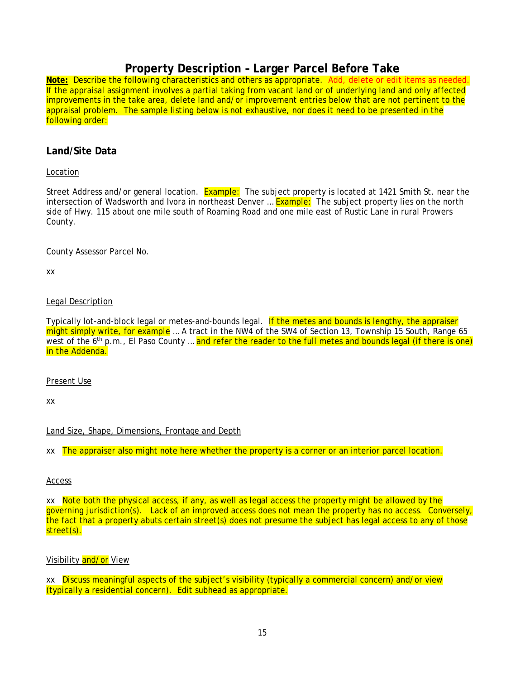## **Property Description – Larger Parcel Before Take**

<span id="page-20-0"></span>**Note:** Describe the following characteristics and others as appropriate. Add, delete or edit items as needed. If the appraisal assignment involves a partial taking from vacant land or of underlying land and only affected improvements in the take area, delete land and/or improvement entries below that are not pertinent to the appraisal problem. The sample listing below is not exhaustive, nor does it need to be presented in the following order:

#### <span id="page-20-1"></span>**Land/Site Data**

#### Location

Street Address and/or general location. Example: The subject property is located at 1421 Smith St. near the intersection of Wadsworth and Ivora in northeast Denver ... Example: The subject property lies on the north side of Hwy. 115 about one mile south of Roaming Road and one mile east of Rustic Lane in rural Prowers County.

#### County Assessor Parcel No.

xx

#### Legal Description

Typically lot-and-block legal or metes-and-bounds legal. If the metes and bounds is lengthy, the appraiser might simply write, for example ... A tract in the NW4 of the SW4 of Section 13, Township 15 South, Range 65 west of the 6<sup>th</sup> p.m., El Paso County ... and refer the reader to the full metes and bounds legal (if there is one) in the Addenda.

#### Present Use

xx

#### Land Size, Shape, Dimensions, Frontage and Depth

xx The appraiser also might note here whether the property is a corner or an interior parcel location.

#### Access

xx Note both the physical access, if any, as well as legal access the property might be allowed by the governing jurisdiction(s). Lack of an improved access does not mean the property has no access. Conversely, the fact that a property abuts certain street(s) does not presume the subject has legal access to any of those street(s).

### Visibility and/or View

xx Discuss meaningful aspects of the subject's visibility (typically a commercial concern) and/or view (typically a residential concern). Edit subhead as appropriate.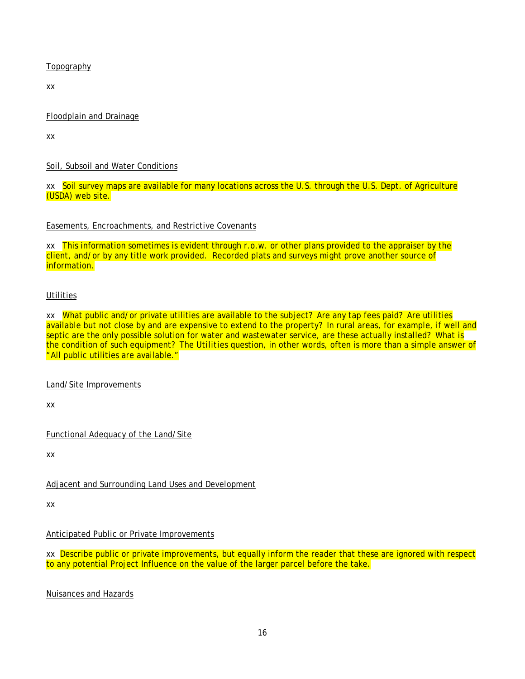**Topography** 

xx

#### Floodplain and Drainage

xx

### Soil, Subsoil and Water Conditions

xx Soil survey maps are available for many locations across the U.S. through the U.S. Dept. of Agriculture (USDA) web site.

#### Easements, Encroachments, and Restrictive Covenants

xx This information sometimes is evident through r.o.w. or other plans provided to the appraiser by the client, and/or by any title work provided. Recorded plats and surveys might prove another source of information.

#### **Utilities**

xx What public and/or private utilities are available to the subject? Are any tap fees paid? Are utilities available but not close by and are expensive to extend to the property? In rural areas, for example, if well and septic are the only possible solution for water and wastewater service, are these actually installed? What is the condition of such equipment? The *Utilities* question, in other words, often is more than a simple answer of "All public utilities are available."

#### Land/Site Improvements

xx

Functional Adequacy of the Land/Site

xx

#### Adjacent and Surrounding Land Uses and Development

xx

#### Anticipated Public or Private Improvements

xx Describe public or private improvements, but equally inform the reader that these are ignored with respect to any potential Project Influence on the value of the larger parcel before the take.

Nuisances and Hazards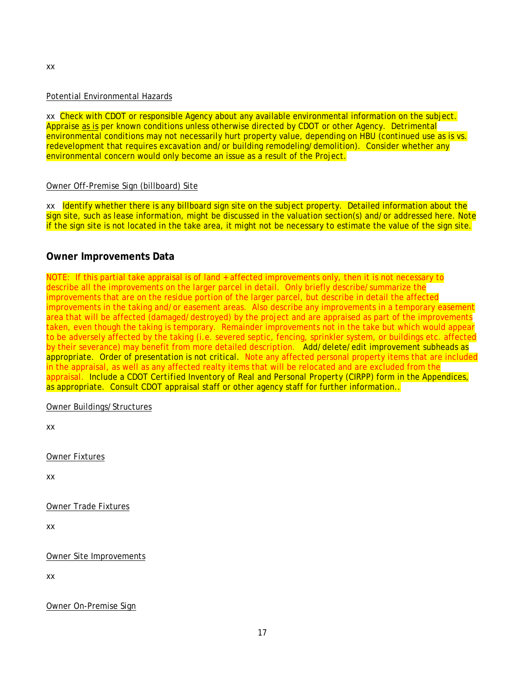## Potential Environmental Hazards

xx Check with CDOT or responsible Agency about any available environmental information on the subject. Appraise as is per known conditions unless otherwise directed by CDOT or other Agency. Detrimental environmental conditions may not necessarily hurt property value, depending on HBU (continued use as is vs. redevelopment that requires excavation and/or building remodeling/demolition). Consider whether any environmental concern would only become an issue as a result of the Project.

#### Owner Off-Premise Sign (billboard) Site

xx Identify whether there is any billboard sign site on the subject property. Detailed information about the sign site, such as lease information, might be discussed in the valuation section(s) and/or addressed here. Note if the sign site is not located in the take area, it might not be necessary to estimate the value of the sign site.

#### <span id="page-22-0"></span>**Owner Improvements Data**

NOTE: If this partial take appraisal is of land + affected improvements only, then it is not necessary to describe all the improvements on the larger parcel in detail. Only briefly describe/summarize the improvements that are on the residue portion of the larger parcel, but describe in detail the affected improvements in the taking and/or easement areas. Also describe any improvements in a temporary easement area that will be affected (damaged/destroyed) by the project and are appraised as part of the improvements taken, even though the taking is temporary. Remainder improvements not in the take but which would appear to be adversely affected by the taking (i.e. severed septic, fencing, sprinkler system, or buildings etc. affected by their severance) may benefit from more detailed description. Add/delete/edit improvement subheads as appropriate. Order of presentation is not critical. Note any affected personal property items that are included in the appraisal, as well as any affected realty items that will be relocated and are excluded from the appraisal. Include a CDOT *Certified Inventory of Real and Personal Property* (CIRPP) form in the Appendices, as appropriate. Consult CDOT appraisal staff or other agency staff for further information..

Owner Buildings/Structures

xx

Owner Fixtures

xx

Owner Trade Fixtures

xx

Owner Site Improvements

xx

Owner On-Premise Sign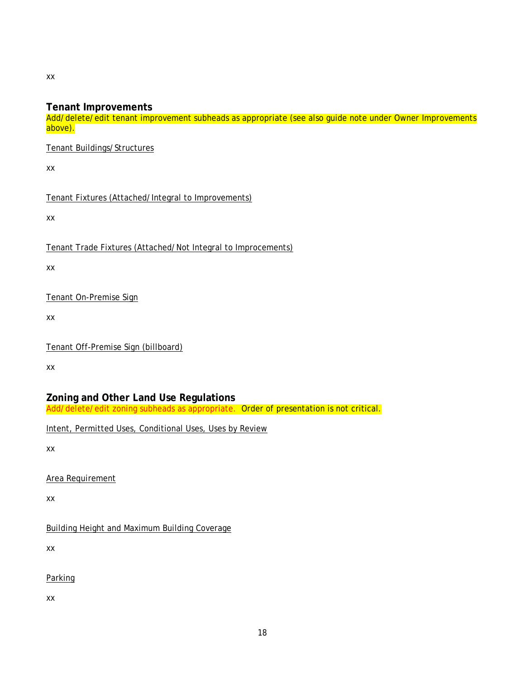xx

### <span id="page-23-0"></span>**Tenant Improvements**

Add/delete/edit tenant improvement subheads as appropriate (see also guide note under *Owner Improvements* above).

Tenant Buildings/Structures

xx

Tenant Fixtures (Attached/Integral to Improvements)

xx

Tenant Trade Fixtures (Attached/Not Integral to Improcements)

xx

Tenant On-Premise Sign

xx

Tenant Off-Premise Sign (billboard)

xx

<span id="page-23-1"></span>**Zoning and Other Land Use Regulations** Add/delete/edit zoning subheads as appropriate. Order of presentation is not critical.

Intent, Permitted Uses, Conditional Uses, Uses by Review

xx

Area Requirement

xx

Building Height and Maximum Building Coverage

xx

**Parking** 

xx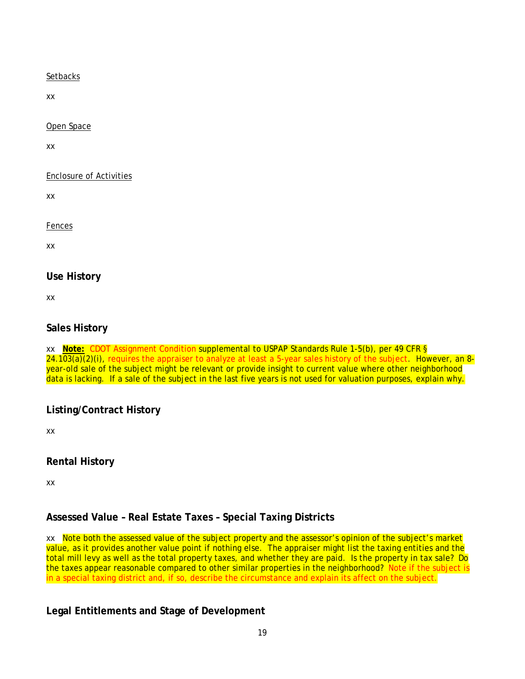#### **Setbacks**

xx

Open Space

xx

Enclosure of Activities

xx

Fences

xx

### <span id="page-24-0"></span>**Use History**

xx

### <span id="page-24-1"></span>**Sales History**

xx **Note:** CDOT Assignment Condition supplemental to USPAP Standards Rule 1-5(b), per 49 CFR §  $24.103(a)(2)(i)$ , requires the appraiser to analyze at least a 5-year sales history of the subject. However, an 8year-old sale of the subject might be relevant or provide insight to current value where other neighborhood data is lacking. If a sale of the subject in the last five years is not used for valuation purposes, explain why.

### <span id="page-24-2"></span>**Listing/Contract History**

xx

### <span id="page-24-3"></span>**Rental History**

xx

## <span id="page-24-4"></span>**Assessed Value – Real Estate Taxes – Special Taxing Districts**

xx Note both the assessed value of the subject property and the assessor's opinion of the subject's market value, as it provides another value point if nothing else. The appraiser might list the taxing entities and the total mill levy as well as the total property taxes, and whether they are paid. Is the property in tax sale? Do the taxes appear reasonable compared to other similar properties in the neighborhood? Note if the subject is in a special taxing district and, if so, describe the circumstance and explain its affect on the subject.

## <span id="page-24-5"></span>**Legal Entitlements and Stage of Development**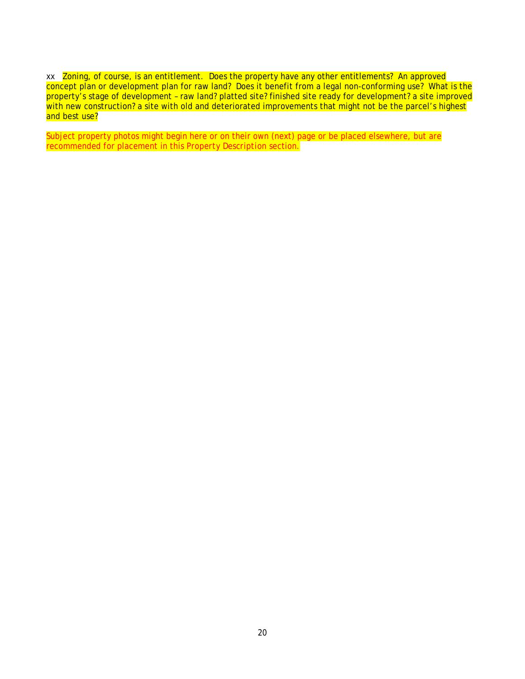xx Zoning, of course, is an entitlement. Does the property have any other entitlements? An approved concept plan or development plan for raw land? Does it benefit from a legal non-conforming use? What is the property's stage of development - raw land? platted site? finished site ready for development? a site improved with new construction? a site with old and deteriorated improvements that might not be the parcel's highest and best use?

Subject property photos might begin here or on their own (next) page or be placed elsewhere, but are recommended for placement in this *Property Description* section.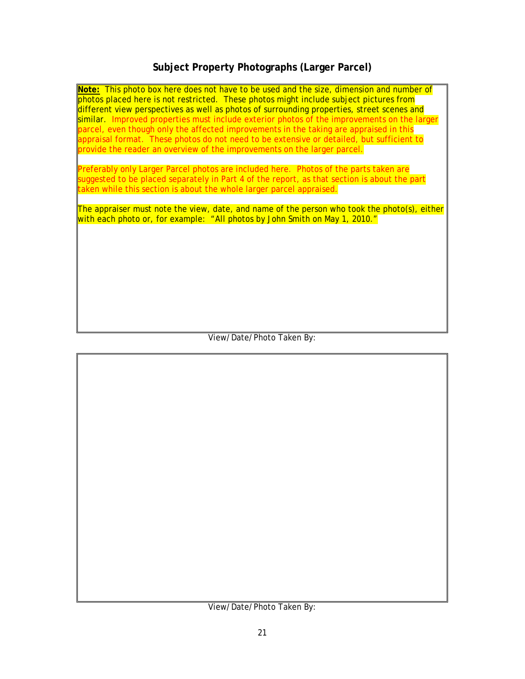## **Subject Property Photographs (Larger Parcel)**

<span id="page-26-0"></span>**Note:** This photo box here does not have to be used and the size, dimension and number of photos placed here is not restricted. These photos might include subject pictures from different view perspectives as well as photos of surrounding properties, street scenes and similar. Improved properties must include exterior photos of the improvements on the larger parcel, even though only the affected improvements in the taking are appraised in this appraisal format. These photos do not need to be extensive or detailed, but sufficient to provide the reader an overview of the improvements on the larger parcel.

Preferably only Larger Parcel photos are included here. Photos of the parts taken are suggested to be placed separately in Part 4 of the report, as that section is about the part taken while this section is about the whole larger parcel appraised.

The appraiser must note the view, date, and name of the person who took the photo(s), either with each photo or, for example: "All photos by John Smith on May 1, 2010."

View/Date/Photo Taken By:

View/Date/Photo Taken By: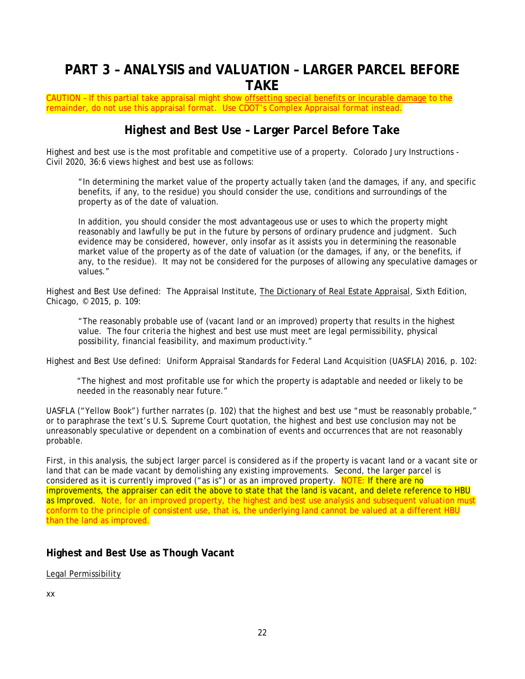## <span id="page-27-0"></span>**PART 3 – ANALYSIS and VALUATION – LARGER PARCEL BEFORE TAKE**

CAUTION - If this partial take appraisal might show offsetting special benefits or incurable damage to the remainder, do not use this appraisal format. Use CDOT's Complex Appraisal format instead.

## **Highest and Best Use – Larger Parcel Before Take**

<span id="page-27-1"></span>Highest and best use is the most profitable and competitive use of a property. Colorado Jury Instructions - Civil 2020, 36:6 views highest and best use as follows:

"In determining the market value of the property actually taken (and the damages, if any, and specific benefits, if any, to the residue) you should consider the use, conditions and surroundings of the property as of the date of valuation.

In addition, you should consider the most advantageous use or uses to which the property might reasonably and lawfully be put in the future by persons of ordinary prudence and judgment. Such evidence may be considered, however, only insofar as it assists you in determining the reasonable market value of the property as of the date of valuation (or the damages, if any, or the benefits, if any, to the residue). It may not be considered for the purposes of allowing any speculative damages or values."

Highest and Best Use defined: The Appraisal Institute, The Dictionary of Real Estate Appraisal, Sixth Edition, Chicago, © 2015, p. 109:

"The reasonably probable use of (vacant land or an improved) property that results in the highest value. The four criteria the highest and best use must meet are legal permissibility, physical possibility, financial feasibility, and maximum productivity."

Highest and Best Use defined: Uniform Appraisal Standards for Federal Land Acquisition (UASFLA) 2016, p. 102:

"The highest and most profitable use for which the property is adaptable and needed or likely to be needed in the reasonably near future."

UASFLA ("Yellow Book") further narrates (p. 102) that the highest and best use "must be reasonably probable," or to paraphrase the text's U.S. Supreme Court quotation, the highest and best use conclusion may not be unreasonably speculative or dependent on a combination of events and occurrences that are not reasonably probable.

First, in this analysis, the subject larger parcel is considered as if the property is vacant land or a vacant site or land that can be made vacant by demolishing any existing improvements. Second, the larger parcel is considered as it is currently improved ("as is") or as an improved property. NOTE: If there are no improvements, the appraiser can edit the above to state that the land is vacant, and delete reference to *HBU as Improved*. Note, for an improved property, the highest and best use analysis and subsequent valuation must conform to the principle of consistent use, that is, the underlying land cannot be valued at a different HBU than the land as improved.

#### <span id="page-27-2"></span>**Highest and Best Use as Though Vacant**

Legal Permissibility

xx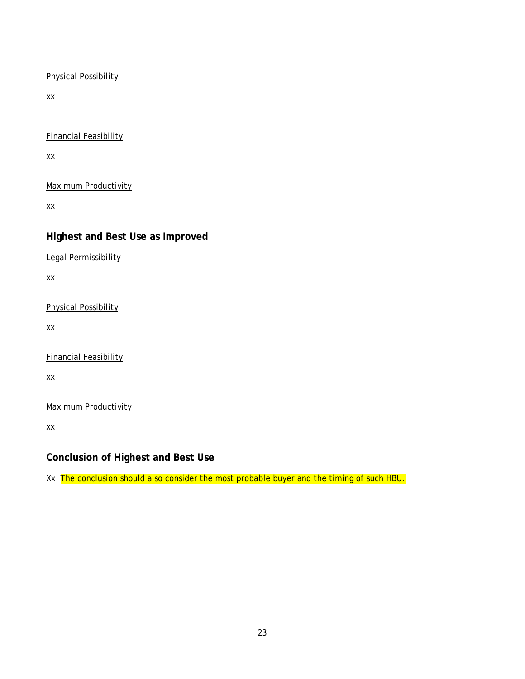#### Physical Possibility

xx

Financial Feasibility

xx

Maximum Productivity

xx

### <span id="page-28-0"></span>**Highest and Best Use as Improved**

Legal Permissibility

xx

Physical Possibility

xx

Financial Feasibility

xx

Maximum Productivity

xx

<span id="page-28-1"></span>**Conclusion of Highest and Best Use**

Xx The conclusion should also consider the most probable buyer and the timing of such HBU.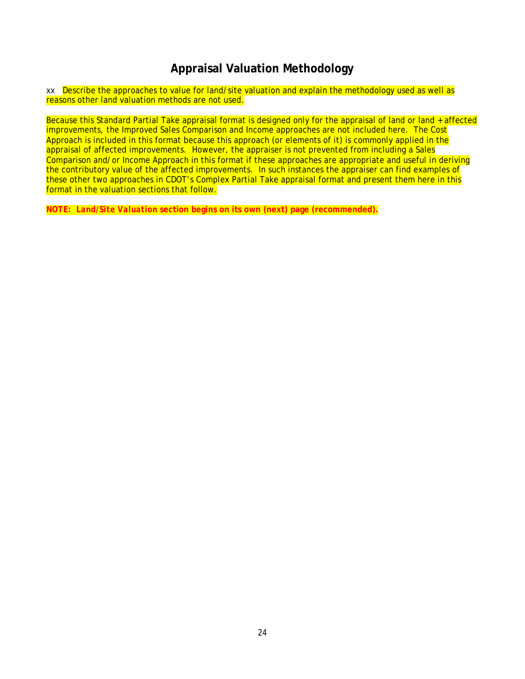## **Appraisal Valuation Methodology**

<span id="page-29-0"></span>xx **Describe the approaches to value for land/site valuation and explain the methodology used as well as** reasons other land valuation methods are not used.

Because this Standard Partial Take appraisal format is designed only for the appraisal of land or land + affected improvements, the Improved Sales Comparison and Income approaches are not included here. The Cost Approach is included in this format because this approach (or elements of it) is commonly applied in the appraisal of affected improvements. However, the appraiser is not prevented from including a Sales Comparison and/or Income Approach in this format if these approaches are appropriate and useful in deriving the contributory value of the affected improvements. In such instances the appraiser can find examples of these other two approaches in CDOT's Complex Partial Take appraisal format and present them here in this format in the valuation sections that follow.

**NOTE:** *Land/Site Valuation* **section begins on its own (next) page (recommended).**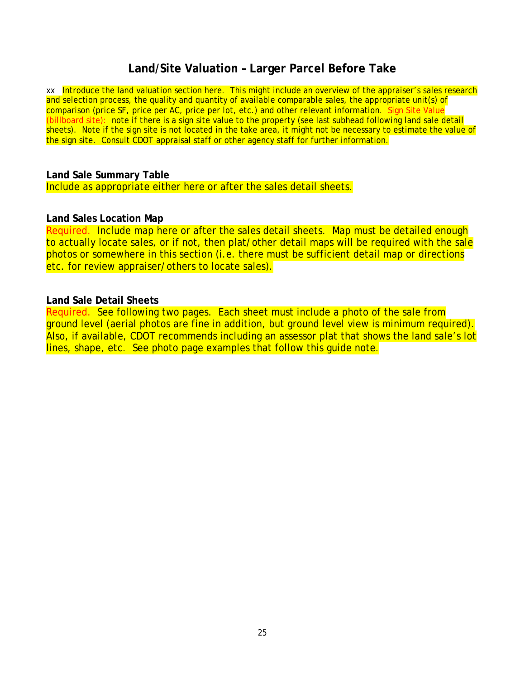## **Land/Site Valuation – Larger Parcel Before Take**

<span id="page-30-0"></span>xx Introduce the land valuation section here. This might include an overview of the appraiser's sales research and selection process, the quality and quantity of available comparable sales, the appropriate unit(s) of comparison (price SF, price per AC, price per lot, etc.) and other relevant information. Sign Site Value (billboard site): note if there is a sign site value to the property (see last subhead following land sale detail sheets). Note if the sign site is not located in the take area, it might not be necessary to estimate the value of the sign site. Consult CDOT appraisal staff or other agency staff for further information.

#### <span id="page-30-1"></span>**Land Sale Summary Table**

Include as appropriate either here or after the sales detail sheets.

#### <span id="page-30-2"></span>**Land Sales Location Map**

Required. Include map here or after the sales detail sheets. Map must be detailed enough to actually locate sales, or if not, then plat/other detail maps will be required with the sale photos or somewhere in this section (i.e. there must be sufficient detail map or directions etc. for review appraiser/others to locate sales).

#### <span id="page-30-3"></span>**Land Sale Detail Sheets**

Required. See following two pages. Each sheet must include a photo of the sale from ground level (aerial photos are fine in addition, but ground level view is minimum required). Also, if available, CDOT recommends including an assessor plat that shows the land sale's lot lines, shape, etc. See photo page examples that follow this guide note.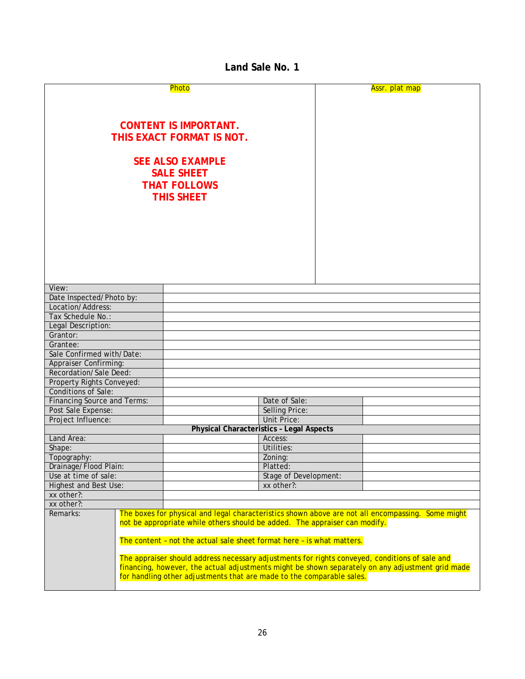### **Land Sale No. 1**

<span id="page-31-0"></span>

|                                                                                                  |                                                                                                                                                                                 | Photo                        |                                                                        | Assr. plat map |  |  |
|--------------------------------------------------------------------------------------------------|---------------------------------------------------------------------------------------------------------------------------------------------------------------------------------|------------------------------|------------------------------------------------------------------------|----------------|--|--|
|                                                                                                  |                                                                                                                                                                                 |                              |                                                                        |                |  |  |
|                                                                                                  |                                                                                                                                                                                 |                              |                                                                        |                |  |  |
|                                                                                                  |                                                                                                                                                                                 |                              |                                                                        |                |  |  |
|                                                                                                  |                                                                                                                                                                                 | <b>CONTENT IS IMPORTANT.</b> |                                                                        |                |  |  |
|                                                                                                  |                                                                                                                                                                                 | THIS EXACT FORMAT IS NOT.    |                                                                        |                |  |  |
|                                                                                                  |                                                                                                                                                                                 |                              |                                                                        |                |  |  |
|                                                                                                  |                                                                                                                                                                                 |                              |                                                                        |                |  |  |
|                                                                                                  |                                                                                                                                                                                 | <b>SEE ALSO EXAMPLE</b>      |                                                                        |                |  |  |
|                                                                                                  |                                                                                                                                                                                 | <b>SALE SHEET</b>            |                                                                        |                |  |  |
|                                                                                                  |                                                                                                                                                                                 | <b>THAT FOLLOWS</b>          |                                                                        |                |  |  |
|                                                                                                  |                                                                                                                                                                                 | <b>THIS SHEET</b>            |                                                                        |                |  |  |
|                                                                                                  |                                                                                                                                                                                 |                              |                                                                        |                |  |  |
|                                                                                                  |                                                                                                                                                                                 |                              |                                                                        |                |  |  |
|                                                                                                  |                                                                                                                                                                                 |                              |                                                                        |                |  |  |
|                                                                                                  |                                                                                                                                                                                 |                              |                                                                        |                |  |  |
|                                                                                                  |                                                                                                                                                                                 |                              |                                                                        |                |  |  |
|                                                                                                  |                                                                                                                                                                                 |                              |                                                                        |                |  |  |
|                                                                                                  |                                                                                                                                                                                 |                              |                                                                        |                |  |  |
|                                                                                                  |                                                                                                                                                                                 |                              |                                                                        |                |  |  |
|                                                                                                  |                                                                                                                                                                                 |                              |                                                                        |                |  |  |
| View:                                                                                            |                                                                                                                                                                                 |                              |                                                                        |                |  |  |
| Date Inspected/Photo by:                                                                         |                                                                                                                                                                                 |                              |                                                                        |                |  |  |
| Location/Address:                                                                                |                                                                                                                                                                                 |                              |                                                                        |                |  |  |
| Tax Schedule No.:                                                                                |                                                                                                                                                                                 |                              |                                                                        |                |  |  |
| Legal Description:                                                                               |                                                                                                                                                                                 |                              |                                                                        |                |  |  |
| Grantor:                                                                                         |                                                                                                                                                                                 |                              |                                                                        |                |  |  |
| Grantee:                                                                                         |                                                                                                                                                                                 |                              |                                                                        |                |  |  |
| Sale Confirmed with/Date:                                                                        |                                                                                                                                                                                 |                              |                                                                        |                |  |  |
| <b>Appraiser Confirming:</b>                                                                     |                                                                                                                                                                                 |                              |                                                                        |                |  |  |
| Recordation/Sale Deed:                                                                           |                                                                                                                                                                                 |                              |                                                                        |                |  |  |
| Property Rights Conveyed:                                                                        |                                                                                                                                                                                 |                              |                                                                        |                |  |  |
| <b>Conditions of Sale:</b>                                                                       |                                                                                                                                                                                 |                              |                                                                        |                |  |  |
| <b>Financing Source and Terms:</b>                                                               |                                                                                                                                                                                 |                              | Date of Sale:                                                          |                |  |  |
| Post Sale Expense:                                                                               |                                                                                                                                                                                 |                              | <b>Selling Price:</b>                                                  |                |  |  |
| Project Influence:                                                                               |                                                                                                                                                                                 |                              | <b>Unit Price:</b>                                                     |                |  |  |
|                                                                                                  |                                                                                                                                                                                 |                              | <b>Physical Characteristics - Legal Aspects</b>                        |                |  |  |
| Land Area:                                                                                       |                                                                                                                                                                                 |                              | Access:                                                                |                |  |  |
| Shape:                                                                                           |                                                                                                                                                                                 |                              | Utilities:                                                             |                |  |  |
| Topography:                                                                                      |                                                                                                                                                                                 |                              | Zoning:                                                                |                |  |  |
| Drainage/Flood Plain:                                                                            |                                                                                                                                                                                 |                              | Platted:                                                               |                |  |  |
|                                                                                                  | Use at time of sale:<br>Stage of Development:                                                                                                                                   |                              |                                                                        |                |  |  |
| <b>Highest and Best Use:</b><br>xx other?:                                                       |                                                                                                                                                                                 |                              |                                                                        |                |  |  |
| xx other?:                                                                                       |                                                                                                                                                                                 |                              |                                                                        |                |  |  |
| xx other?:                                                                                       |                                                                                                                                                                                 |                              |                                                                        |                |  |  |
| Remarks:                                                                                         | The boxes for physical and legal characteristics shown above are not all encompassing. Some might<br>not be appropriate while others should be added. The appraiser can modify. |                              |                                                                        |                |  |  |
|                                                                                                  |                                                                                                                                                                                 |                              | The content - not the actual sale sheet format here - is what matters. |                |  |  |
|                                                                                                  |                                                                                                                                                                                 |                              |                                                                        |                |  |  |
| The appraiser should address necessary adjustments for rights conveyed, conditions of sale and   |                                                                                                                                                                                 |                              |                                                                        |                |  |  |
| financing, however, the actual adjustments might be shown separately on any adjustment grid made |                                                                                                                                                                                 |                              |                                                                        |                |  |  |
|                                                                                                  |                                                                                                                                                                                 |                              | for handling other adjustments that are made to the comparable sales.  |                |  |  |
|                                                                                                  |                                                                                                                                                                                 |                              |                                                                        |                |  |  |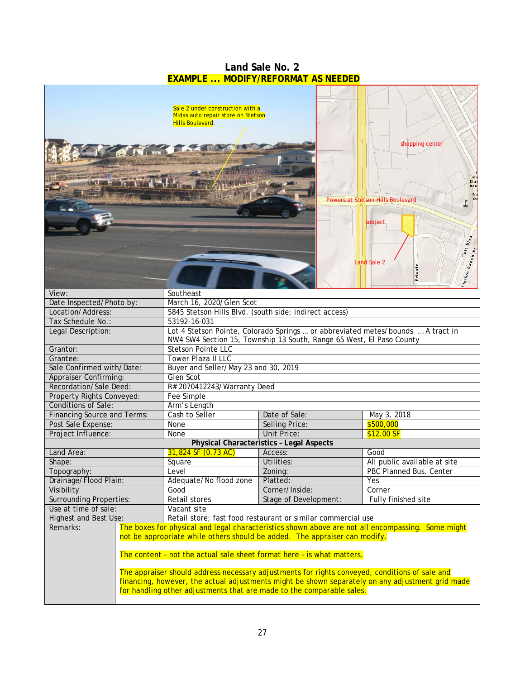<span id="page-32-0"></span>

| <b>EXAMPLE  MODIFY/REFORMAT AS NEEDED</b>                                                             |                                                                                                   |                                                                                                                                                                                                                                                                                                                                 |                                                                                                                                                                                                       |  |  |  |  |
|-------------------------------------------------------------------------------------------------------|---------------------------------------------------------------------------------------------------|---------------------------------------------------------------------------------------------------------------------------------------------------------------------------------------------------------------------------------------------------------------------------------------------------------------------------------|-------------------------------------------------------------------------------------------------------------------------------------------------------------------------------------------------------|--|--|--|--|
|                                                                                                       | Sale 2 under construction with a<br>Midas auto repair store on Stetson<br><b>Hills Boulevard.</b> |                                                                                                                                                                                                                                                                                                                                 | shopping center<br>Ima<br>Clar<br>Aca                                                                                                                                                                 |  |  |  |  |
|                                                                                                       |                                                                                                   |                                                                                                                                                                                                                                                                                                                                 | <b>Powers at Stetson Hills Boulevard</b><br>$\overline{\phantom{a}}$<br>subject<br>Tutt Bivd<br><b>In the Ranch Pt</b><br><b>Land Sale 2</b><br>Private                                               |  |  |  |  |
| View:<br>Date Inspected/Photo by:                                                                     | Southeast                                                                                         |                                                                                                                                                                                                                                                                                                                                 |                                                                                                                                                                                                       |  |  |  |  |
| Location/Address:                                                                                     |                                                                                                   | March 16, 2020/Glen Scot                                                                                                                                                                                                                                                                                                        |                                                                                                                                                                                                       |  |  |  |  |
| Tax Schedule No.:                                                                                     | 53192-16-031                                                                                      | 5845 Stetson Hills Blvd. (south side; indirect access)                                                                                                                                                                                                                                                                          |                                                                                                                                                                                                       |  |  |  |  |
| Lot 4 Stetson Pointe, Colorado Springs  or abbreviated metes/bounds  A tract in<br>Legal Description: |                                                                                                   |                                                                                                                                                                                                                                                                                                                                 |                                                                                                                                                                                                       |  |  |  |  |
| NW4 SW4 Section 15, Township 13 South, Range 65 West, El Paso County                                  |                                                                                                   |                                                                                                                                                                                                                                                                                                                                 |                                                                                                                                                                                                       |  |  |  |  |
| <b>Stetson Pointe LLC</b><br>Grantor:                                                                 |                                                                                                   |                                                                                                                                                                                                                                                                                                                                 |                                                                                                                                                                                                       |  |  |  |  |
| Tower Plaza II LLC<br>Grantee:                                                                        |                                                                                                   |                                                                                                                                                                                                                                                                                                                                 |                                                                                                                                                                                                       |  |  |  |  |
| Sale Confirmed with/Date:<br>Buyer and Seller/May 23 and 30, 2019                                     |                                                                                                   |                                                                                                                                                                                                                                                                                                                                 |                                                                                                                                                                                                       |  |  |  |  |
| Glen Scot<br><b>Appraiser Confirming:</b>                                                             |                                                                                                   |                                                                                                                                                                                                                                                                                                                                 |                                                                                                                                                                                                       |  |  |  |  |
| Recordation/Sale Deed:<br>R# 2070412243/Warranty Deed                                                 |                                                                                                   |                                                                                                                                                                                                                                                                                                                                 |                                                                                                                                                                                                       |  |  |  |  |
| Property Rights Conveyed:                                                                             | Fee Simple                                                                                        |                                                                                                                                                                                                                                                                                                                                 |                                                                                                                                                                                                       |  |  |  |  |
| <b>Conditions of Sale:</b>                                                                            | Arm's Length                                                                                      |                                                                                                                                                                                                                                                                                                                                 |                                                                                                                                                                                                       |  |  |  |  |
| <b>Financing Source and Terms:</b><br>Cash to Seller<br>Date of Sale:                                 |                                                                                                   | May 3, 2018                                                                                                                                                                                                                                                                                                                     |                                                                                                                                                                                                       |  |  |  |  |
| Post Sale Expense:                                                                                    | None                                                                                              | Selling Price:                                                                                                                                                                                                                                                                                                                  | \$500,000                                                                                                                                                                                             |  |  |  |  |
| Project Influence:                                                                                    | None                                                                                              | Unit Price:                                                                                                                                                                                                                                                                                                                     | \$12.00 SF                                                                                                                                                                                            |  |  |  |  |
|                                                                                                       |                                                                                                   | <b>Physical Characteristics - Legal Aspects</b>                                                                                                                                                                                                                                                                                 |                                                                                                                                                                                                       |  |  |  |  |
| Land Area:                                                                                            | 31,824 SF (0.73 AC)                                                                               | Access:                                                                                                                                                                                                                                                                                                                         | Good                                                                                                                                                                                                  |  |  |  |  |
| Shape:                                                                                                | Square                                                                                            | Utilities:                                                                                                                                                                                                                                                                                                                      | All public available at site                                                                                                                                                                          |  |  |  |  |
| Topography:                                                                                           | Level                                                                                             | Zoning:                                                                                                                                                                                                                                                                                                                         | PBC Planned Bus. Center                                                                                                                                                                               |  |  |  |  |
| Drainage/Flood Plain:                                                                                 | Adequate/No flood zone                                                                            | Platted:                                                                                                                                                                                                                                                                                                                        | Yes                                                                                                                                                                                                   |  |  |  |  |
| Visibility                                                                                            | Good                                                                                              | Corner/Inside:                                                                                                                                                                                                                                                                                                                  | Corner                                                                                                                                                                                                |  |  |  |  |
| <b>Surrounding Properties:</b>                                                                        | Retail stores                                                                                     | Stage of Development:                                                                                                                                                                                                                                                                                                           | Fully finished site                                                                                                                                                                                   |  |  |  |  |
| Use at time of sale:                                                                                  | Vacant site                                                                                       |                                                                                                                                                                                                                                                                                                                                 |                                                                                                                                                                                                       |  |  |  |  |
| Highest and Best Use:                                                                                 |                                                                                                   | Retail store; fast food restaurant or similar commercial use                                                                                                                                                                                                                                                                    |                                                                                                                                                                                                       |  |  |  |  |
| Remarks:                                                                                              |                                                                                                   | not be appropriate while others should be added. The appraiser can modify.<br>The content - not the actual sale sheet format here - is what matters.<br>The appraiser should address necessary adjustments for rights conveyed, conditions of sale and<br>for handling other adjustments that are made to the comparable sales. | The boxes for physical and legal characteristics shown above are not all encompassing. Some might<br>financing, however, the actual adjustments might be shown separately on any adjustment grid made |  |  |  |  |

# **Land Sale No. 2**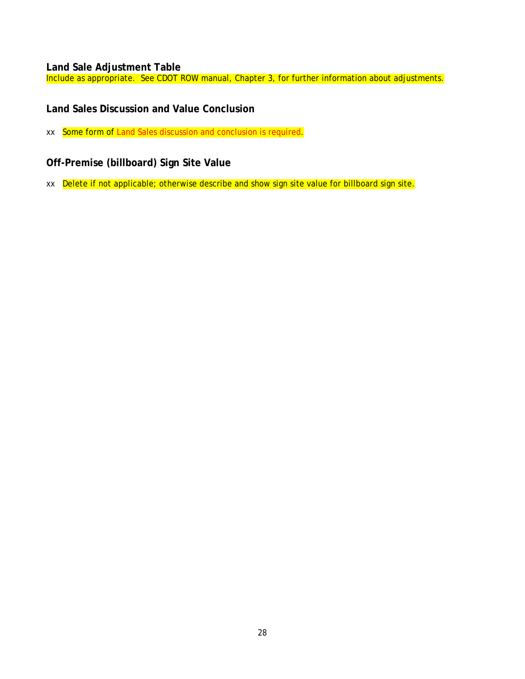### <span id="page-33-0"></span>**Land Sale Adjustment Table**

Include as appropriate. See CDOT ROW manual, Chapter 3, for further information about adjustments.

### <span id="page-33-1"></span>**Land Sales Discussion and Value Conclusion**

xx Some form of Land Sales discussion and conclusion is required.

### <span id="page-33-2"></span>**Off-Premise (billboard) Sign Site Value**

xx Delete if not applicable; otherwise describe and show sign site value for billboard sign site.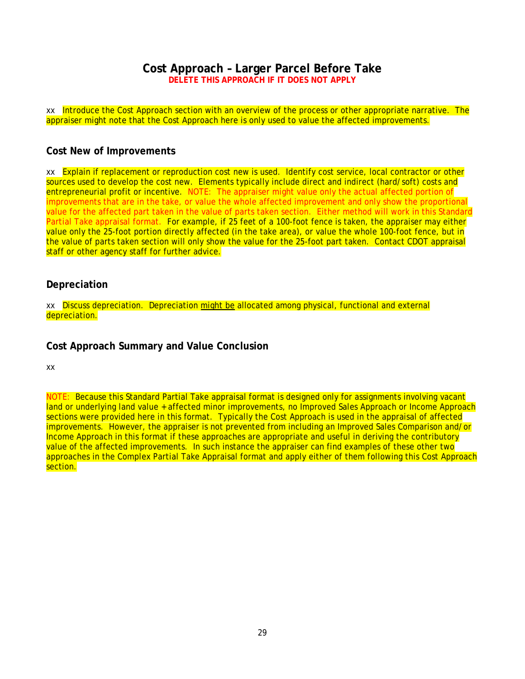### **Cost Approach – Larger Parcel Before Take DELETE THIS APPROACH IF IT DOES NOT APPLY**

<span id="page-34-0"></span>xx Introduce the Cost Approach section with an overview of the process or other appropriate narrative. The appraiser might note that the Cost Approach here is only used to value the affected improvements.

#### <span id="page-34-1"></span>**Cost New of Improvements**

xx Explain if replacement or reproduction cost new is used. Identify cost service, local contractor or other sources used to develop the cost new. Elements typically include direct and indirect (hard/soft) costs and entrepreneurial profit or incentive. NOTE: The appraiser might value only the actual affected portion of improvements that are in the take, or value the whole affected improvement and only show the proportional value for the affected part taken in the value of parts taken section. Either method will work in this Standard Partial Take appraisal format. For example, if 25 feet of a 100-foot fence is taken, the appraiser may either value only the 25-foot portion directly affected (in the take area), or value the whole 100-foot fence, but in the value of parts taken section will only show the value for the 25-foot part taken. Contact CDOT appraisal staff or other agency staff for further advice.

#### <span id="page-34-2"></span>**Depreciation**

xx Discuss depreciation. Depreciation might be allocated among physical, functional and external depreciation.

#### <span id="page-34-3"></span>**Cost Approach Summary and Value Conclusion**

xx

NOTE: Because this Standard Partial Take appraisal format is designed only for assignments involving vacant land or underlying land value + affected minor improvements, no Improved Sales Approach or Income Approach sections were provided here in this format. Typically the Cost Approach is used in the appraisal of affected improvements. However, the appraiser is not prevented from including an Improved Sales Comparison and/or Income Approach in this format if these approaches are appropriate and useful in deriving the contributory value of the affected improvements. In such instance the appraiser can find examples of these other two approaches in the Complex Partial Take Appraisal format and apply either of them following this Cost Approach section.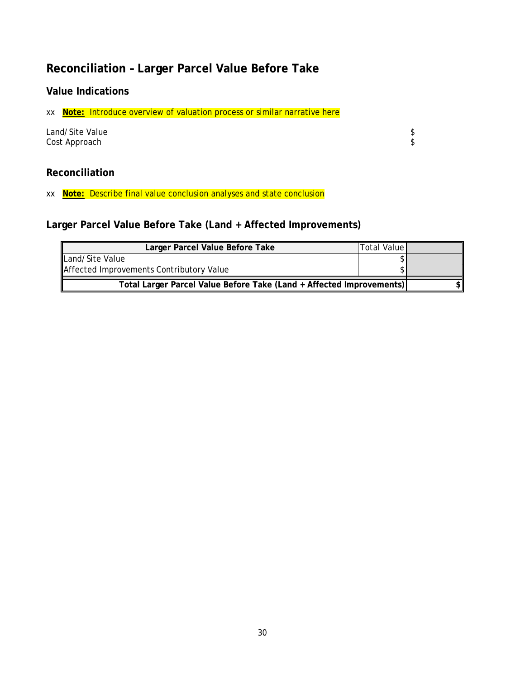## <span id="page-35-0"></span>**Reconciliation – Larger Parcel Value Before Take**

## <span id="page-35-1"></span>**Value Indications**

xx **Note:** Introduce overview of valuation process or similar narrative here

| Land/Site Value |  |
|-----------------|--|
| Cost Approach   |  |

### <span id="page-35-2"></span>**Reconciliation**

xx **Note:** Describe final value conclusion analyses and state conclusion

## <span id="page-35-3"></span>**Larger Parcel Value Before Take (Land + Affected Improvements)**

| Total Value<br>Larger Parcel Value Before Take                       |  |  |  |
|----------------------------------------------------------------------|--|--|--|
| Land/Site Value                                                      |  |  |  |
| Affected Improvements Contributory Value                             |  |  |  |
| Total Larger Parcel Value Before Take (Land + Affected Improvements) |  |  |  |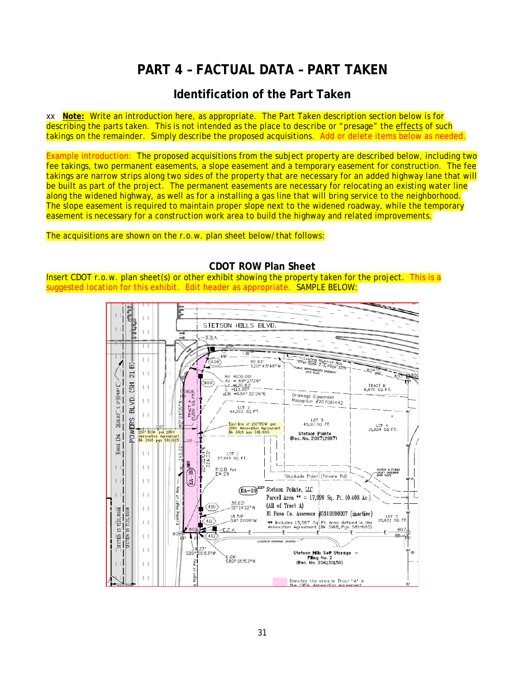## **PART 4 – FACTUAL DATA – PART TAKEN**

## **Identification of the Part Taken**

<span id="page-36-1"></span><span id="page-36-0"></span>xx **Note:** Write an introduction here, as appropriate. The Part Taken description section below is for describing the parts taken. This is not intended as the place to describe or "presage" the effects of such takings on the remainder. Simply describe the proposed acquisitions. Add or delete items below as needed.

Example introduction: The proposed acquisitions from the subject property are described below, including two fee takings, two permanent easements, a slope easement and a temporary easement for construction. The fee takings are narrow strips along two sides of the property that are necessary for an added highway lane that will be built as part of the project. The permanent easements are necessary for relocating an existing water line along the widened highway, as well as for a installing a gas line that will bring service to the neighborhood. The slope easement is required to maintain proper slope next to the widened roadway, while the temporary easement is necessary for a construction work area to build the highway and related improvements.

#### The acquisitions are shown on the r.o.w. plan sheet below/that follows:

 $\frac{1}{\sqrt{2}}$  $\perp$ STETSON HILLS BLVD. тH  $\overline{1}$  $B.\overline{0}$ .A  $-805$ ۱E  $\overline{\Box}$  $-\check{P}$ Existing Right-of-Way<br>(Plat Book Z-3, Page 103)  $\perp$  $K_{408}$  $60.92$ <br>S20°45'48"W  $\widehat{\mathbf{p}}$ BUC MPROVEMENTS EASEMENT  $\left| \ \ \right|$  $\overline{21}$ Rc =100.00'<br>- Ac = 69°13'29"<br>- Lc <u>=120.82</u>' ---<br>C =113.60" ----<br>@CB =N34°32'36"E ŗ,  $\sqrt{409}$  $54$ TRACT B<br>8,870 SQ. FT.  $\left| \ \right|$ 2638.83<sup>T</sup> S 0° 0544" Drainage Easement<br>Reception #207091442 BLVD.  $\left| \ \right|$  $\triangleleft$  of W"90'40 LOT 2<br>44,203 SQ. FT. **RACT** POWERS LOT 3<br>45,011 SQ. FT. East line of 150' RDW per<br>1984 Annexation Agreemer<br>Bk 3918 pgs 581-605 LOT 4<br>31.824 SQ. FT. 150 RD 1984 Stetson Pointe<br>(Rec. No. 209712997) 画 Annexati RANGE 1  $-345.6$  $\vert \ \ \vert$ LOT 1<br>57,945 SQ. FT.  $^{124}$  $E_A - 29$ <sup>REV</sup>  $\perp$  $\mathbf{L}$ P.O.B. for<br>EA-29 CCESS & PUBLIC<br>MLMY EASEMENT<br>DEB BLMS Stockade Point (Private Rd)  $\Box$  $\perp$ (EA-29)<sup>REV</sup> Stetson Pointe, LLC Way  $\perp$ Parcel Area \*\* = 17,699 Sq. Ft. (0.406 Ac.) Right of 39.63'<br>S1°14'12"W (All of Tract A)  $\frac{-\text{secr}\overline{\text{m}}}{-\text{secr}\overline{\text{m}}}\underbrace{135,\text{Res}\overline{\text{m}}}{135,\text{Res}\overline{\text{m}}}$  $(410)$  $\vert \ \ \vert$ Existing El Paso Co. Assessor #5319200007 (inactive) 18.59<br>-S4° 21′06″W LOT 5<br>26,822 SQ. FT  $(411)$ \*\* Includes 13,587 Sq. Ft. Area defined in the<br>Annexation Agreement (Bk 3918, Pgs 581-605)  $\perp$ 807 Е E.O.A.  $-\mathbf{R}$  – — ⊮ . . 80  $\left\vert -\right\vert$  $412$ DRAINAGE CHANNEL  $\perp$  $27'$ Stetson **Hill**s Self Storage —<br>**Fil**ing No. 2<br>(Rec. No. 204130150) issuw S89 6.06'<br>S89° 55'53"W ş  $\left\vert \ \right\vert$ light of Denotes the greg in Tract "A" in<br>the 1984, Apparation Assessment

#### **CDOT ROW Plan Sheet**

<span id="page-36-2"></span>Insert CDOT r.o.w. plan sheet(s) or other exhibit showing the property taken for the project. This is a suggested location for this exhibit. Edit header as appropriate. SAMPLE BELOW: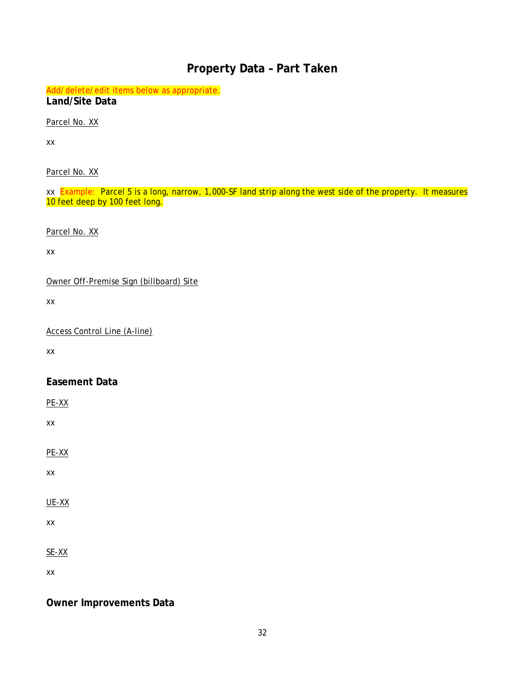## **Property Data – Part Taken**

<span id="page-37-1"></span><span id="page-37-0"></span>Add/delete/edit items below as appropriate. **Land/Site Data**

Parcel No. XX

xx

Parcel No. XX

xx Example: Parcel 5 is a long, narrow, 1,000-SF land strip along the west side of the property. It measures 10 feet deep by 100 feet long.

Parcel No. XX

xx

Owner Off-Premise Sign (billboard) Site

xx

Access Control Line (A-line)

xx

### <span id="page-37-2"></span>**Easement Data**

PE-XX

xx

PE-XX

xx

UE-XX

xx

SE-XX

xx

<span id="page-37-3"></span>**Owner Improvements Data**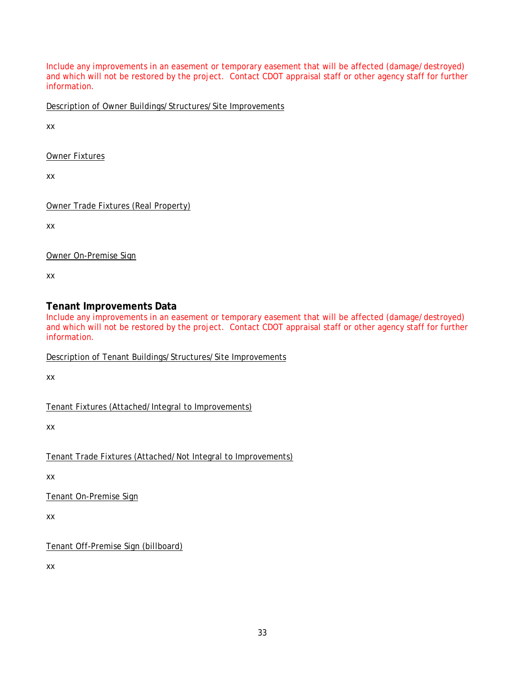Include any improvements in an easement or temporary easement that will be affected (damage/destroyed) and which will not be restored by the project. Contact CDOT appraisal staff or other agency staff for further information.

Description of Owner Buildings/Structures/Site Improvements

xx

Owner Fixtures

xx

Owner Trade Fixtures (Real Property)

xx

Owner On-Premise Sign

xx

### <span id="page-38-0"></span>**Tenant Improvements Data**

Include any improvements in an easement or temporary easement that will be affected (damage/destroyed) and which will not be restored by the project. Contact CDOT appraisal staff or other agency staff for further information.

Description of Tenant Buildings/Structures/Site Improvements

xx

Tenant Fixtures (Attached/Integral to Improvements)

xx

Tenant Trade Fixtures (Attached/Not Integral to Improvements)

xx

Tenant On-Premise Sign

xx

Tenant Off-Premise Sign (billboard)

xx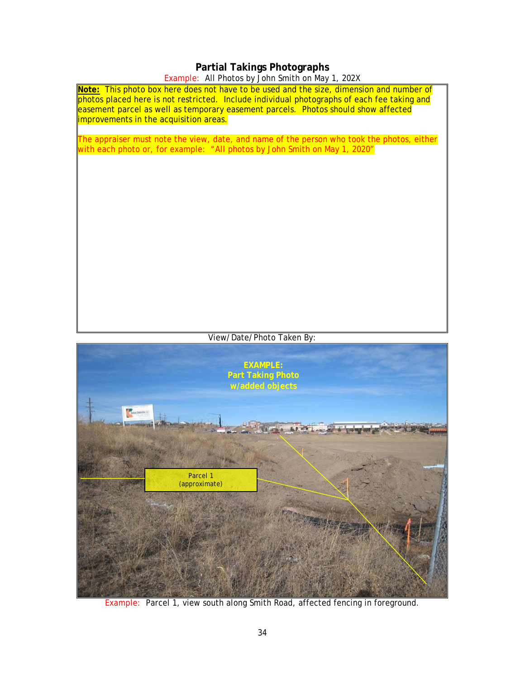## **Partial Takings Photographs**

### Example: All Photos by John Smith on May 1, 202X

<span id="page-39-0"></span>

Example: Parcel 1, view south along Smith Road, affected fencing in foreground.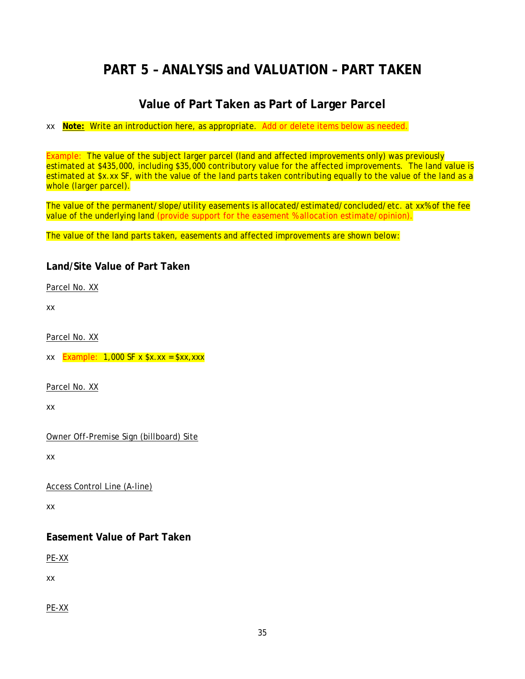## <span id="page-40-0"></span>**PART 5 – ANALYSIS and VALUATION – PART TAKEN**

## **Value of Part Taken as Part of Larger Parcel**

#### <span id="page-40-1"></span>xx **Note:** Write an introduction here, as appropriate. Add or delete items below as needed.

Example: The value of the subject larger parcel (land and affected improvements only) was previously estimated at \$435,000, including \$35,000 contributory value for the affected improvements. The land value is estimated at \$x.xx SF, with the value of the land parts taken contributing equally to the value of the land as a whole (larger parcel).

The value of the permanent/slope/utility easements is allocated/estimated/concluded/etc. at xx% of the fee value of the underlying land (provide support for the easement % allocation estimate/opinion).

The value of the land parts taken, easements and affected improvements are shown below:

## <span id="page-40-2"></span>**Land/Site Value of Part Taken**

Parcel No. XX

xx

Parcel No. XX

xx  $Example: 1,000 SF x $x.x = $xx,xxx$ 

Parcel No. XX

xx

Owner Off-Premise Sign (billboard) Site

xx

Access Control Line (A-line)

xx

## <span id="page-40-3"></span>**Easement Value of Part Taken**

PE-XX

xx

PE-XX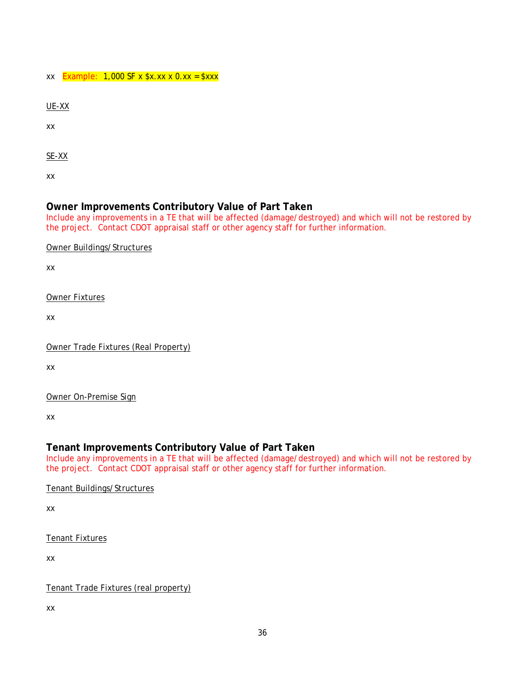#### $xx$  Example: 1,000 SF x  $x \cdot xx \times 0$ .  $xx =$   $x \cdot xx$

UE-XX

xx

SE-XX

xx

### <span id="page-41-0"></span>**Owner Improvements Contributory Value of Part Taken**

Include any improvements in a TE that will be affected (damage/destroyed) and which will not be restored by the project. Contact CDOT appraisal staff or other agency staff for further information.

Owner Buildings/Structures

xx

Owner Fixtures

xx

| Owner Trade Fixtures (Real Property) |
|--------------------------------------|
|--------------------------------------|

xx

Owner On-Premise Sign

xx

### <span id="page-41-1"></span>**Tenant Improvements Contributory Value of Part Taken**

Include any improvements in a TE that will be affected (damage/destroyed) and which will not be restored by the project. Contact CDOT appraisal staff or other agency staff for further information.

Tenant Buildings/Structures

xx

Tenant Fixtures

xx

Tenant Trade Fixtures (real property)

xx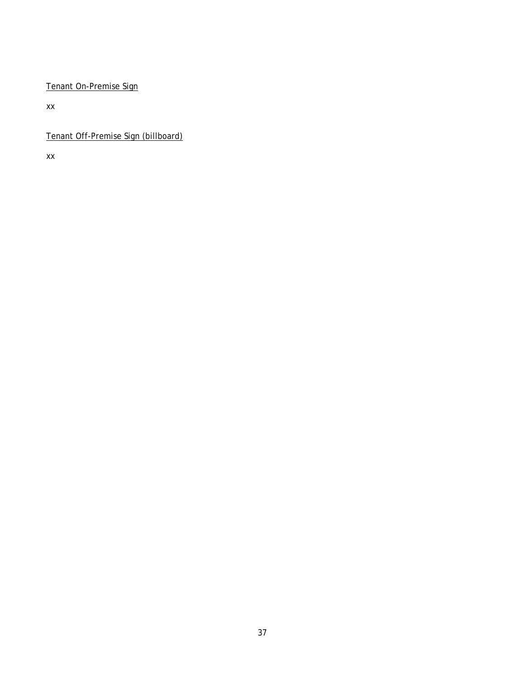### Tenant On-Premise Sign

xx

Tenant Off-Premise Sign (billboard)

xx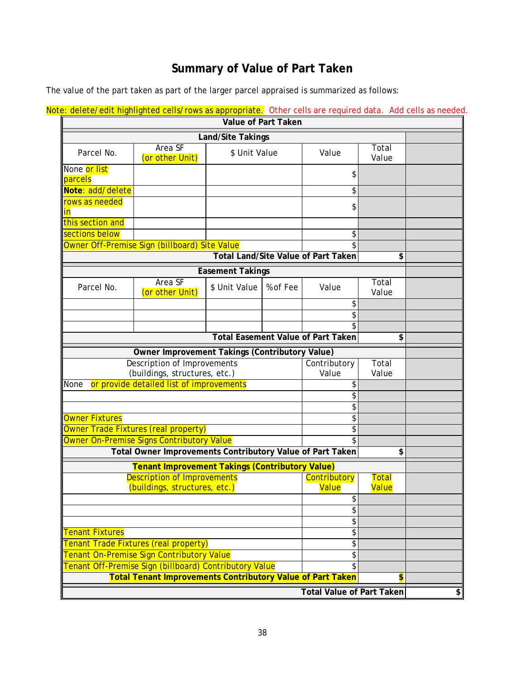## **Summary of Value of Part Taken**

<span id="page-43-0"></span>The value of the part taken as part of the larger parcel appraised is summarized as follows:

| <u>JE. Gelete/edit nighlighted cells/Tows as appropriate.</u> Other cells are required uata. Add cells as heeded<br>Value of Part Taken |                                                                     |                         |                       |                                            |                              |                             |
|-----------------------------------------------------------------------------------------------------------------------------------------|---------------------------------------------------------------------|-------------------------|-----------------------|--------------------------------------------|------------------------------|-----------------------------|
|                                                                                                                                         |                                                                     |                         |                       |                                            |                              |                             |
| Land/Site Takings<br>Area SF                                                                                                            |                                                                     |                         |                       | Total                                      |                              |                             |
| Parcel No.                                                                                                                              | (or other Unit)                                                     | \$ Unit Value           |                       | Value                                      | Value                        |                             |
| None or list<br>parcels                                                                                                                 |                                                                     |                         |                       | \$                                         |                              |                             |
| Note: add/delete                                                                                                                        |                                                                     |                         |                       | \$                                         |                              |                             |
| rows as needed<br><u>in</u>                                                                                                             |                                                                     |                         |                       | \$                                         |                              |                             |
| this section and                                                                                                                        |                                                                     |                         |                       |                                            |                              |                             |
| sections below                                                                                                                          |                                                                     |                         |                       | \$                                         |                              |                             |
|                                                                                                                                         | Owner Off-Premise Sign (billboard) Site Value                       |                         |                       |                                            |                              |                             |
|                                                                                                                                         |                                                                     |                         |                       | <b>Total Land/Site Value of Part Taken</b> | \$                           |                             |
|                                                                                                                                         |                                                                     | <b>Easement Takings</b> |                       |                                            |                              |                             |
| Parcel No.                                                                                                                              | Area SF<br>(or other Unit)                                          | \$ Unit Value           | % of Fee              | Value                                      | Total<br>Value               |                             |
|                                                                                                                                         |                                                                     |                         |                       | \$                                         |                              |                             |
|                                                                                                                                         |                                                                     |                         |                       | \$                                         |                              |                             |
|                                                                                                                                         |                                                                     |                         |                       | \$                                         |                              |                             |
|                                                                                                                                         |                                                                     |                         |                       | <b>Total Easement Value of Part Taken</b>  | \$                           |                             |
| Owner Improvement Takings (Contributory Value)                                                                                          |                                                                     |                         |                       |                                            |                              |                             |
| <b>Description of Improvements</b><br>(buildings, structures, etc.)                                                                     |                                                                     |                         | Contributory<br>Value | Total<br>Value                             |                              |                             |
| None                                                                                                                                    | or provide detailed list of improvements                            |                         |                       | \$                                         |                              |                             |
|                                                                                                                                         |                                                                     |                         |                       | \$                                         |                              |                             |
|                                                                                                                                         |                                                                     |                         |                       | \$                                         |                              |                             |
| Owner Fixtures                                                                                                                          |                                                                     |                         |                       | \$                                         |                              |                             |
| Owner Trade Fixtures (real property)                                                                                                    |                                                                     |                         | \$                    |                                            |                              |                             |
|                                                                                                                                         | Owner On-Premise Signs Contributory Value                           |                         |                       |                                            |                              |                             |
| Total Owner Improvements Contributory Value of Part Taken                                                                               |                                                                     |                         |                       | \$                                         |                              |                             |
|                                                                                                                                         | <b>Tenant Improvement Takings (Contributory Value)</b>              |                         |                       |                                            |                              |                             |
|                                                                                                                                         | <b>Description of Improvements</b><br>(buildings, structures, etc.) |                         |                       | Contributory<br><b>Value</b>               | <b>Total</b><br><b>Value</b> |                             |
|                                                                                                                                         |                                                                     |                         |                       | \$                                         |                              |                             |
|                                                                                                                                         |                                                                     |                         |                       | \$                                         |                              |                             |
|                                                                                                                                         |                                                                     |                         |                       | \$                                         |                              |                             |
| <b>Tenant Fixtures</b>                                                                                                                  |                                                                     |                         |                       | \$                                         |                              |                             |
|                                                                                                                                         | Tenant Trade Fixtures (real property)                               |                         |                       | \$                                         |                              |                             |
| Tenant On-Premise Sign Contributory Value                                                                                               |                                                                     |                         | \$                    |                                            |                              |                             |
|                                                                                                                                         | Tenant Off-Premise Sign (billboard) Contributory Value              |                         |                       | \$                                         |                              |                             |
|                                                                                                                                         | <b>Total Tenant Improvements Contributory Value of Part Taken</b>   |                         |                       |                                            | $\overline{\mathbf{S}}$      |                             |
|                                                                                                                                         |                                                                     |                         |                       | <b>Total Value of Part Taken</b>           |                              | $\left  \mathbf{r} \right $ |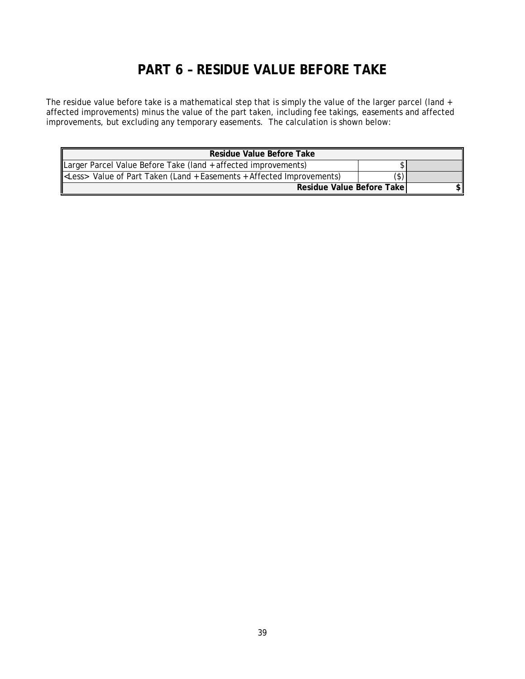## **PART 6 – RESIDUE VALUE BEFORE TAKE**

<span id="page-44-0"></span>The residue value before take is a mathematical step that is simply the value of the larger parcel (land + affected improvements) minus the value of the part taken, including fee takings, easements and affected improvements, but excluding any temporary easements. The calculation is shown below:

| Residue Value Before Take                                                    |               |  |  |
|------------------------------------------------------------------------------|---------------|--|--|
| Larger Parcel Value Before Take (land + affected improvements)               |               |  |  |
| <less> Value of Part Taken (Land + Easements + Affected Improvements)</less> | $\mathcal{S}$ |  |  |
| Residue Value Before Take                                                    |               |  |  |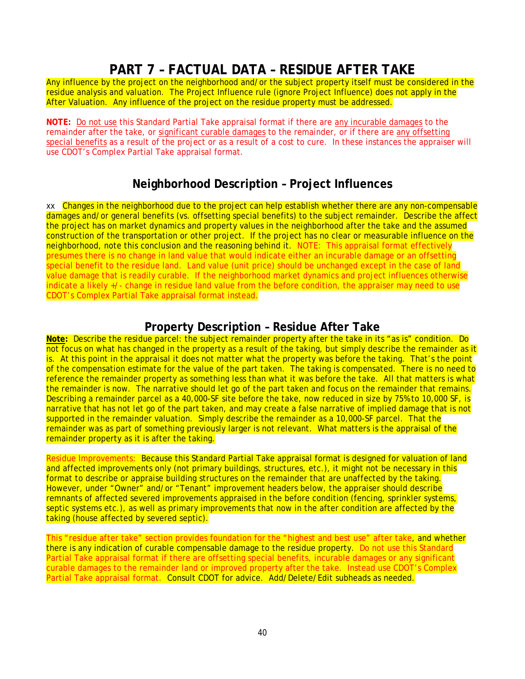## **PART 7 – FACTUAL DATA – RESIDUE AFTER TAKE**

<span id="page-45-0"></span>Any influence by the project on the neighborhood and/or the subject property itself must be considered in the residue analysis and valuation. The Project Influence rule (ignore Project Influence) does not apply in the After Valuation. Any influence of the project on the residue property must be addressed.

**NOTE:** Do not use this Standard Partial Take appraisal format if there are any incurable damages to the remainder after the take, or significant curable damages to the remainder, or if there are any offsetting special benefits as a result of the project or as a result of a cost to cure. In these instances the appraiser will use CDOT's Complex Partial Take appraisal format.

## **Neighborhood Description – Project Influences**

<span id="page-45-1"></span>xx Changes in the neighborhood due to the project can help establish whether there are any non-compensable damages and/or general benefits (vs. offsetting special benefits) to the subject remainder. Describe the affect the project has on market dynamics and property values in the neighborhood after the take and the assumed construction of the transportation or other project. If the project has no clear or measurable influence on the neighborhood, note this conclusion and the reasoning behind it. NOTE: This appraisal format effectively presumes there is no change in land value that would indicate either an incurable damage or an offsetting special benefit to the residue land. Land value (unit price) should be unchanged except in the case of land value damage that is readily curable. If the neighborhood market dynamics and project influences otherwise indicate a likely +/- change in residue land value from the before condition, the appraiser may need to use CDOT's Complex Partial Take appraisal format instead.

## **Property Description – Residue After Take**

<span id="page-45-2"></span>**Note:** Describe the residue parcel: the subject remainder property after the take in its "as is" condition. Do not focus on what has changed in the property as a result of the taking, but simply describe the remainder as it is. At this point in the appraisal it does not matter what the property was before the taking. That's the point of the compensation estimate for the value of the part taken. The taking is compensated. There is no need to reference the remainder property as something less than what it was before the take. All that matters is what the remainder is now. The narrative should let go of the part taken and focus on the remainder that remains. Describing a remainder parcel as a 40,000-SF site before the take, now reduced in size by 75% to 10,000 SF, is narrative that has not let go of the part taken, and may create a false narrative of implied damage that is not supported in the remainder valuation. Simply describe the remainder as a 10,000-SF parcel. That the remainder was as part of something previously larger is not relevant. What matters is the appraisal of the remainder property as it is after the taking.

Residue Improvements: Because this Standard Partial Take appraisal format is designed for valuation of land and affected improvements only (not primary buildings, structures, etc.), it might not be necessary in this format to describe or appraise building structures on the remainder that are unaffected by the taking. However, under "Owner" and/or "Tenant" improvement headers below, the appraiser should describe remnants of affected severed improvements appraised in the before condition (fencing, sprinkler systems, septic systems etc.), as well as primary improvements that now in the after condition are affected by the taking (house affected by severed septic).

This "residue after take" section provides foundation for the "highest and best use" after take, and whether there is any indication of curable compensable damage to the residue property. Do not use this Standard Partial Take appraisal format if there are offsetting special benefits, incurable damages or any significant curable damages to the remainder land or improved property after the take. Instead use CDOT's Complex Partial Take appraisal format. Consult CDOT for advice. Add/Delete/Edit subheads as needed.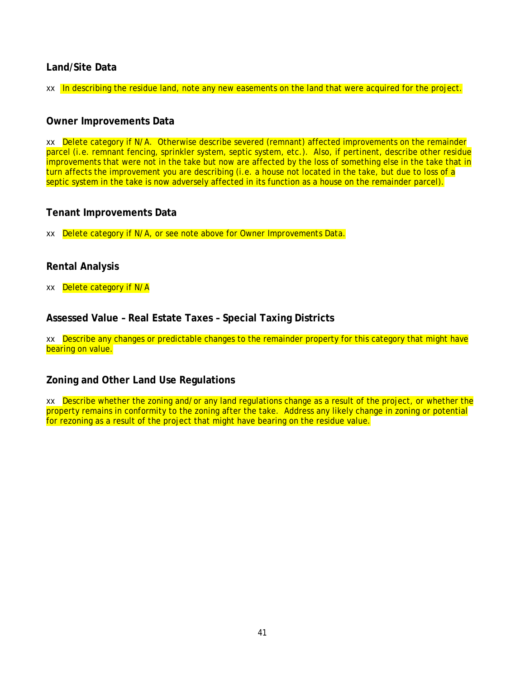### <span id="page-46-0"></span>**Land/Site Data**

xx In describing the residue land, note any new easements on the land that were acquired for the project.

#### <span id="page-46-1"></span>**Owner Improvements Data**

xx Delete category if N/A. Otherwise describe severed (remnant) affected improvements on the remainder parcel (i.e. remnant fencing, sprinkler system, septic system, etc.). Also, if pertinent, describe other residue improvements that were not in the take but now are affected by the loss of something else in the take that in turn affects the improvement you are describing (i.e. a house not located in the take, but due to loss of a septic system in the take is now adversely affected in its function as a house on the remainder parcel).

#### <span id="page-46-2"></span>**Tenant Improvements Data**

xx Delete category if N/A, or see note above for *Owner Improvements Data*.

#### <span id="page-46-3"></span>**Rental Analysis**

xx Delete category if N/A

#### <span id="page-46-4"></span>**Assessed Value – Real Estate Taxes – Special Taxing Districts**

xx Describe any changes or predictable changes to the remainder property for this category that might have bearing on value.

#### <span id="page-46-5"></span>**Zoning and Other Land Use Regulations**

xx Describe whether the zoning and/or any land regulations change as a result of the project, or whether the property remains in conformity to the zoning after the take. Address any likely change in zoning or potential for rezoning as a result of the project that might have bearing on the residue value.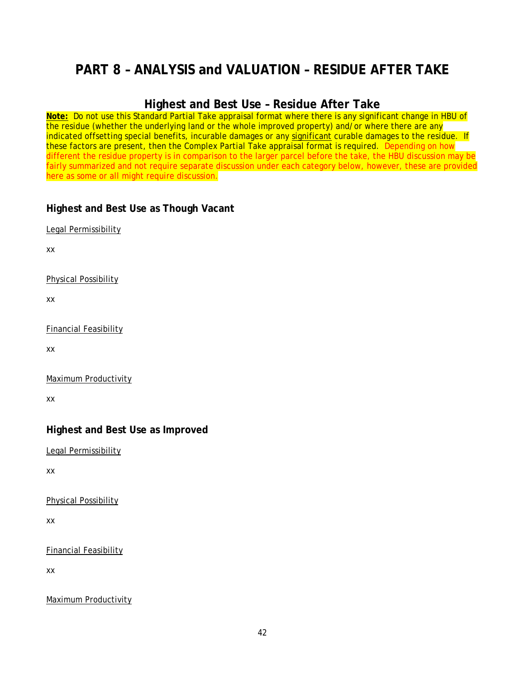## <span id="page-47-0"></span>**PART 8 – ANALYSIS and VALUATION – RESIDUE AFTER TAKE**

## **Highest and Best Use – Residue After Take**

<span id="page-47-1"></span>**Note:** Do not use this Standard Partial Take appraisal format where there is any significant change in HBU of the residue (whether the underlying land or the whole improved property) and/or where there are any indicated offsetting special benefits, incurable damages or any significant curable damages to the residue. If these factors are present, then the Complex Partial Take appraisal format is required. Depending on how different the residue property is in comparison to the larger parcel before the take, the HBU discussion may be fairly summarized and not require separate discussion under each category below, however, these are provided here as some or all might require discussion.

### <span id="page-47-2"></span>**Highest and Best Use as Though Vacant**

Legal Permissibility

xx

Physical Possibility

xx

Financial Feasibility

xx

Maximum Productivity

xx

### <span id="page-47-3"></span>**Highest and Best Use as Improved**

Legal Permissibility

xx

Physical Possibility

xx

Financial Feasibility

xx

Maximum Productivity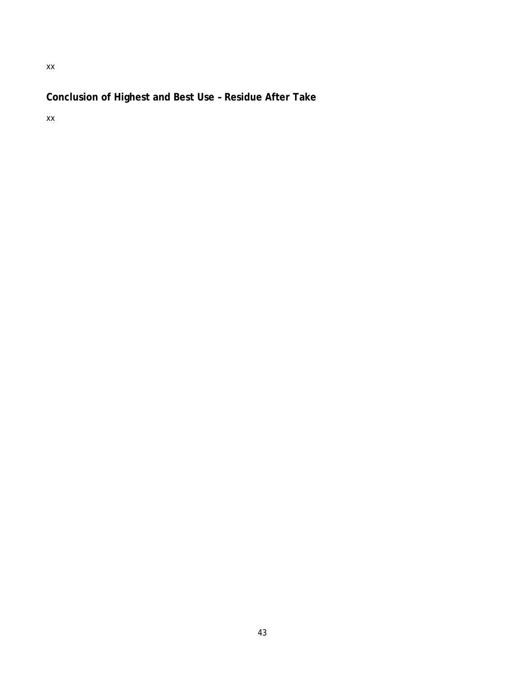## <span id="page-48-0"></span>**Conclusion of Highest and Best Use – Residue After Take**

xx

xx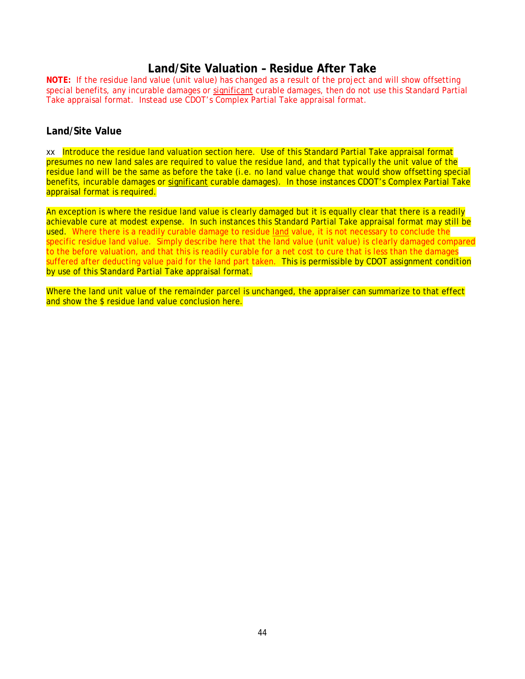### **Land/Site Valuation – Residue After Take**

<span id="page-49-0"></span>**NOTE:** If the residue land value (unit value) has changed as a result of the project and will show offsetting special benefits, any incurable damages or significant curable damages, then do not use this Standard Partial Take appraisal format. Instead use CDOT's Complex Partial Take appraisal format.

#### <span id="page-49-1"></span>**Land/Site Value**

xx Introduce the residue land valuation section here. Use of this Standard Partial Take appraisal format presumes no new land sales are required to value the residue land, and that typically the unit value of the residue land will be the same as before the take (i.e. no land value change that would show offsetting special benefits, incurable damages or significant curable damages). In those instances CDOT's Complex Partial Take appraisal format is required.

An exception is where the residue land value is clearly damaged but it is equally clear that there is a readily achievable cure at modest expense. In such instances this Standard Partial Take appraisal format may still be used. Where there is a readily curable damage to residue land value, it is not necessary to conclude the specific residue land value. Simply describe here that the land value (unit value) is clearly damaged compared to the before valuation, and that this is readily curable for a net cost to cure that is less than the damages suffered after deducting value paid for the land part taken. This is permissible by CDOT assignment condition by use of this Standard Partial Take appraisal format.

Where the land unit value of the remainder parcel is unchanged, the appraiser can summarize to that effect and show the \$ residue land value conclusion here.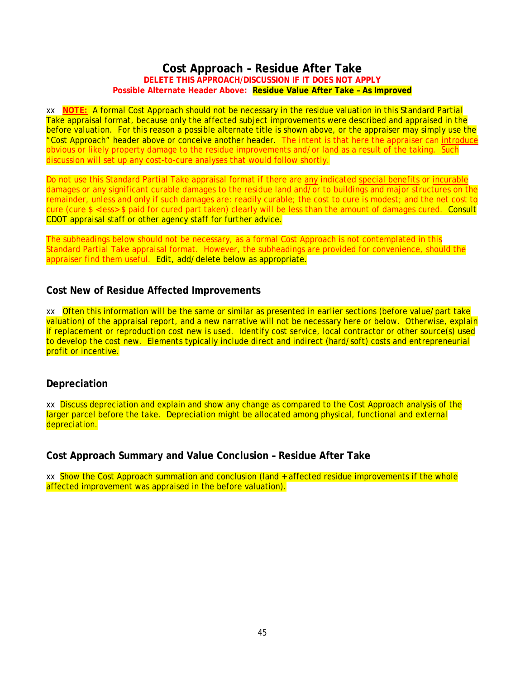#### **Cost Approach – Residue After Take DELETE THIS APPROACH/DISCUSSION IF IT DOES NOT APPLY Possible Alternate Header Above: Residue Value After Take – As Improved**

<span id="page-50-0"></span>xx **NOTE:** A formal Cost Approach should not be necessary in the residue valuation in this Standard Partial Take appraisal format, because only the affected subject improvements were described and appraised in the before valuation. For this reason a possible alternate title is shown above, or the appraiser may simply use the "Cost Approach" header above or conceive another header. The intent is that here the appraiser can introduce obvious or likely property damage to the residue improvements and/or land as a result of the taking. Such discussion will set up any cost-to-cure analyses that would follow shortly.

Do not use this Standard Partial Take appraisal format if there are any indicated special benefits or incurable damages or any significant curable damages to the residue land and/or to buildings and major structures on the remainder, unless and only if such damages are: readily curable; the cost to cure is modest; and the net cost to cure (cure \$ <less> \$ paid for cured part taken) clearly will be less than the amount of damages cured. Consult CDOT appraisal staff or other agency staff for further advice.

The subheadings below should not be necessary, as a formal Cost Approach is not contemplated in this Standard Partial Take appraisal format. However, the subheadings are provided for convenience, should the appraiser find them useful. Edit, add/delete below as appropriate.

#### <span id="page-50-1"></span>**Cost New of Residue Affected Improvements**

xx Often this information will be the same or similar as presented in earlier sections (before value/part take valuation) of the appraisal report, and a new narrative will not be necessary here or below. Otherwise, explain if replacement or reproduction cost new is used. Identify cost service, local contractor or other source(s) used to develop the cost new. Elements typically include direct and indirect (hard/soft) costs and entrepreneurial profit or incentive.

#### <span id="page-50-2"></span>**Depreciation**

xx Discuss depreciation and explain and show any change as compared to the Cost Approach analysis of the larger parcel before the take. Depreciation might be allocated among physical, functional and external depreciation.

<span id="page-50-3"></span>**Cost Approach Summary and Value Conclusion – Residue After Take** 

xx Show the Cost Approach summation and conclusion (land + affected residue improvements if the whole affected improvement was appraised in the before valuation).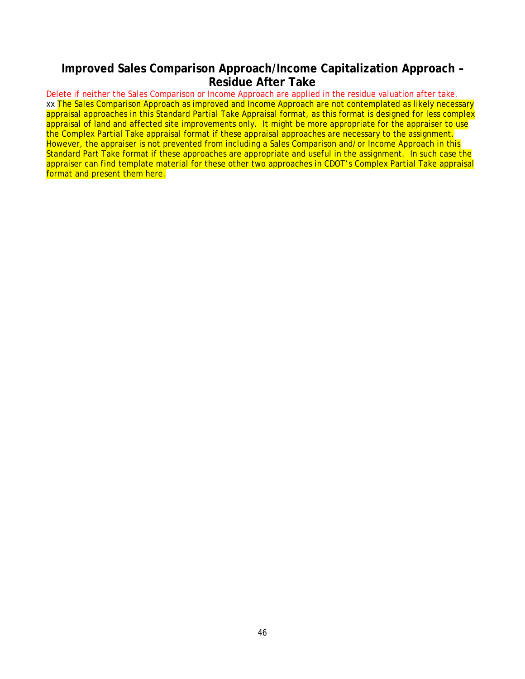## <span id="page-51-0"></span>**Improved Sales Comparison Approach/Income Capitalization Approach – Residue After Take**

Delete if neither the Sales Comparison or Income Approach are applied in the residue valuation after take. xx The Sales Comparison Approach as improved and Income Approach are not contemplated as likely necessary appraisal approaches in this Standard Partial Take Appraisal format, as this format is designed for less complex appraisal of land and affected site improvements only. It might be more appropriate for the appraiser to use the Complex Partial Take appraisal format if these appraisal approaches are necessary to the assignment. However, the appraiser is not prevented from including a Sales Comparison and/or Income Approach in this Standard Part Take format if these approaches are appropriate and useful in the assignment. In such case the appraiser can find template material for these other two approaches in CDOT's Complex Partial Take appraisal format and present them here.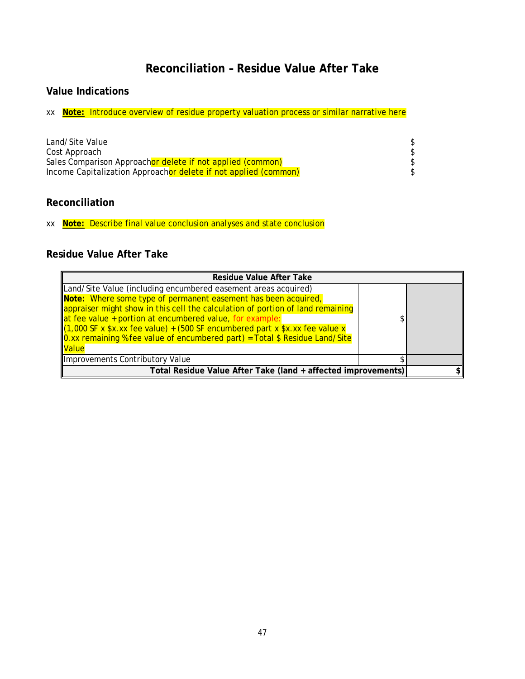## **Reconciliation – Residue Value After Take**

### <span id="page-52-1"></span><span id="page-52-0"></span>**Value Indications**

xx **Note:** Introduce overview of residue property valuation process or similar narrative here

| Land/Site Value                                                 |  |
|-----------------------------------------------------------------|--|
| Cost Approach                                                   |  |
| Sales Comparison Approachor delete if not applied (common)      |  |
| Income Capitalization Approachor delete if not applied (common) |  |

### <span id="page-52-2"></span>**Reconciliation**

xx **Note:** Describe final value conclusion analyses and state conclusion

## <span id="page-52-3"></span>**Residue Value After Take**

| <b>Residue Value After Take</b>                                                |  |
|--------------------------------------------------------------------------------|--|
| Land/Site Value (including encumbered easement areas acquired)                 |  |
| Note: Where some type of permanent easement has been acquired,                 |  |
| appraiser might show in this cell the calculation of portion of land remaining |  |
| at fee value + portion at encumbered value, for example:                       |  |
| [(1,000 SF x \$x.xx fee value) + (500 SF encumbered part x \$x.xx fee value x  |  |
| 0.xx remaining % fee value of encumbered part) = Total \$ Residue Land/Site    |  |
| <b>Value</b>                                                                   |  |
| Improvements Contributory Value                                                |  |
| Total Residue Value After Take (land + affected improvements)                  |  |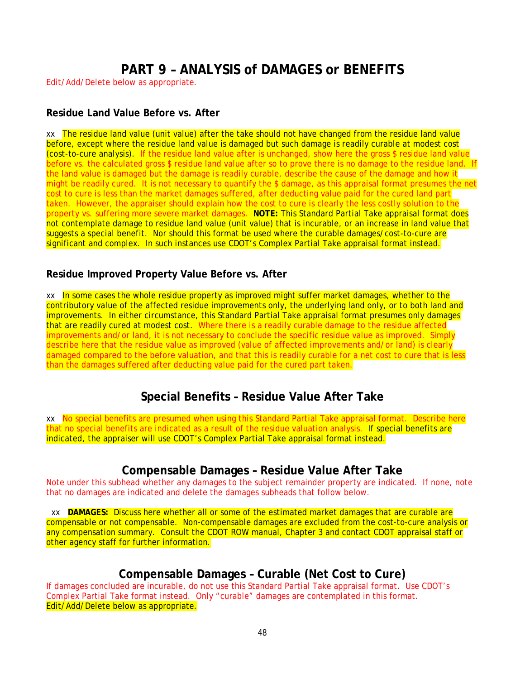## **PART 9 – ANALYSIS of DAMAGES or BENEFITS**

<span id="page-53-0"></span>Edit/Add/Delete below as appropriate.

#### <span id="page-53-1"></span>**Residue Land Value Before vs. After**

xx The residue land value (unit value) after the take should not have changed from the residue land value before, except where the residue land value is damaged but such damage is readily curable at modest cost (cost-to-cure analysis). If the residue land value after is unchanged, show here the gross \$ residue land value before vs. the calculated gross \$ residue land value after so to prove there is no damage to the residue land. If the land value is damaged but the damage is readily curable, describe the cause of the damage and how it might be readily cured. It is not necessary to quantify the \$ damage, as this appraisal format presumes the net cost to cure is less than the market damages suffered, after deducting value paid for the cured land part taken. However, the appraiser should explain how the cost to cure is clearly the less costly solution to the property vs. suffering more severe market damages. **NOTE:** This Standard Partial Take appraisal format does not contemplate damage to residue land value (unit value) that is incurable, or an increase in land value that suggests a special benefit. Nor should this format be used where the curable damages/cost-to-cure are significant and complex. In such instances use CDOT's Complex Partial Take appraisal format instead.

### <span id="page-53-2"></span>**Residue Improved Property Value Before vs. After**

xx In some cases the whole residue property as improved might suffer market damages, whether to the contributory value of the affected residue improvements only, the underlying land only, or to both land and improvements. In either circumstance, this Standard Partial Take appraisal format presumes only damages that are readily cured at modest cost. Where there is a readily curable damage to the residue affected improvements and/or land, it is not necessary to conclude the specific residue value as improved. Simply describe here that the residue value as improved (value of affected improvements and/or land) is clearly damaged compared to the before valuation, and that this is readily curable for a net cost to cure that is less than the damages suffered after deducting value paid for the cured part taken.

## **Special Benefits – Residue Value After Take**

<span id="page-53-3"></span>xx No special benefits are presumed when using this Standard Partial Take appraisal format. Describe here that no special benefits are indicated as a result of the residue valuation analysis. If special benefits are indicated, the appraiser will use CDOT's Complex Partial Take appraisal format instead.

## **Compensable Damages – Residue Value After Take**

<span id="page-53-4"></span>Note under this subhead whether any damages to the subject remainder property are indicated. If none, note that no damages are indicated and delete the damages subheads that follow below.

 xx **DAMAGES:** Discuss here whether all or some of the estimated market damages that are curable are compensable or not compensable. Non-compensable damages are excluded from the cost-to-cure analysis or any compensation summary. Consult the CDOT ROW manual, Chapter 3 and contact CDOT appraisal staff or other agency staff for further information.

## **Compensable Damages – Curable (Net Cost to Cure)**

<span id="page-53-5"></span>If damages concluded are incurable, do not use this Standard Partial Take appraisal format. Use CDOT's Complex Partial Take format instead. Only "curable" damages are contemplated in this format. Edit/Add/Delete below as appropriate.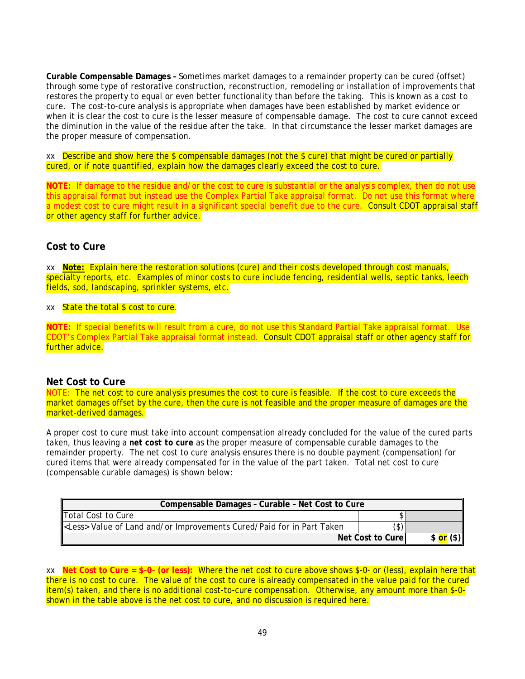**Curable Compensable Damages –** Sometimes market damages to a remainder property can be cured (offset) through some type of restorative construction, reconstruction, remodeling or installation of improvements that restores the property to equal or even better functionality than before the taking. This is known as a *cost to cure*. The cost-to-cure analysis is appropriate when damages have been established by market evidence or when it is clear the cost to cure is the lesser measure of compensable damage. The cost to cure cannot exceed the diminution in the value of the residue after the take. In that circumstance the lesser market damages are the proper measure of compensation.

xx Describe and show here the  $\frac{1}{2}$  compensable damages (not the  $\frac{1}{2}$  cure) that might be cured or partially cured, or if note quantified, explain how the damages clearly exceed the cost to cure.

**NOTE:** If damage to the residue and/or the cost to cure is substantial or the analysis complex, then do not use this appraisal format but instead use the Complex Partial Take appraisal format. Do not use this format where a modest cost to cure might result in a significant special benefit due to the cure. Consult CDOT appraisal staff or other agency staff for further advice.

#### <span id="page-54-0"></span>**Cost to Cure**

xx **Note:** Explain here the restoration solutions (cure) and their costs developed through cost manuals, specialty reports, etc. Examples of minor costs to cure include fencing, residential wells, septic tanks, leech fields, sod, landscaping, sprinkler systems, etc.

xx State the total \$ cost to cure.

**NOTE:** If special benefits will result from a cure, do not use this Standard Partial Take appraisal format. Use CDOT's Complex Partial Take appraisal format instead. Consult CDOT appraisal staff or other agency staff for further advice.

#### <span id="page-54-1"></span>**Net Cost to Cure**

NOTE: The net cost to cure analysis presumes the cost to cure is feasible. If the cost to cure exceeds the market damages offset by the cure, then the cure is not feasible and the proper measure of damages are the market-derived damages.

A proper cost to cure must take into account compensation already concluded for the value of the cured parts taken, thus leaving a *net cost to cure* as the proper measure of compensable curable damages to the remainder property. The net cost to cure analysis ensures there is no double payment (compensation) for cured items that were already compensated for in the value of the part taken. Total net cost to cure (compensable curable damages) is shown below:

| Compensable Damages - Curable - Net Cost to Cure                             |                   |                             |
|------------------------------------------------------------------------------|-------------------|-----------------------------|
| Total Cost to Cure                                                           |                   |                             |
| <less> Value of Land and/or Improvements Cured/Paid for in Part Taken</less> |                   |                             |
|                                                                              | Net Cost to Curel | $($ \$) $\parallel$<br>\$or |

xx **Net Cost to Cure = \$-0- (or less):** Where the net cost to cure above shows \$-0- or (less), explain here that there is no cost to cure. The value of the cost to cure is already compensated in the value paid for the cured item(s) taken, and there is no additional cost-to-cure compensation. Otherwise, any amount more than \$-0 shown in the table above is the net cost to cure, and no discussion is required here.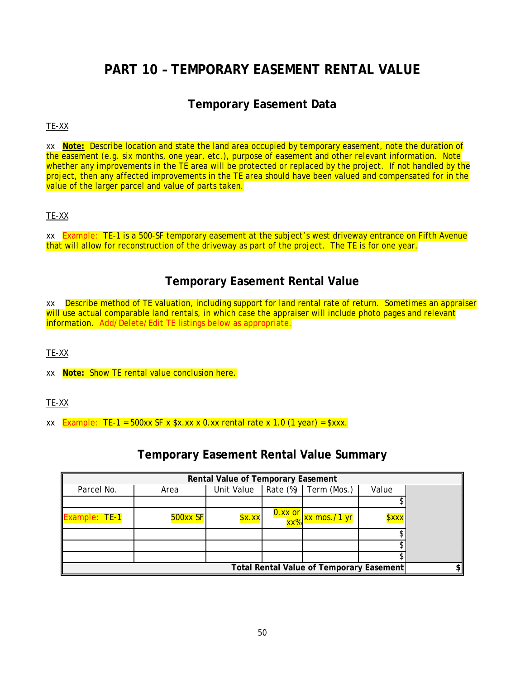## <span id="page-55-0"></span>**PART 10 – TEMPORARY EASEMENT RENTAL VALUE**

## **Temporary Easement Data**

#### <span id="page-55-1"></span>TE-XX

xx **Note:** Describe location and state the land area occupied by temporary easement, note the duration of the easement (e.g. six months, one year, etc.), purpose of easement and other relevant information. Note whether any improvements in the TE area will be protected or replaced by the project. If not handled by the project, then any affected improvements in the TE area should have been valued and compensated for in the value of the larger parcel and value of parts taken.

#### TE-XX

xx Example: TE-1 is a 500-SF temporary easement at the subject's west driveway entrance on Fifth Avenue that will allow for reconstruction of the driveway as part of the project. The TE is for one year.

## **Temporary Easement Rental Value**

<span id="page-55-2"></span>xx Describe method of TE valuation, including support for land rental rate of return. Sometimes an appraiser will use actual comparable land rentals, in which case the appraiser will include photo pages and relevant information. Add/Delete/Edit TE listings below as appropriate.

TE-XX

xx **Note:** Show TE rental value conclusion here.

#### TE-XX

xx **Example: TE-1** = 500xx SF x  $$x.xx x 0.xx$  rental rate x 1.0 (1 year) =  $$xxx$ .

## **Temporary Easement Rental Value Summary**

<span id="page-55-3"></span>

| Rental Value of Temporary Easement              |            |            |          |                                                         |                                 |  |
|-------------------------------------------------|------------|------------|----------|---------------------------------------------------------|---------------------------------|--|
| Parcel No.                                      | Area       | Unit Value | Rate (%) | Term (Mos.)                                             | Value                           |  |
|                                                 |            |            |          |                                                         |                                 |  |
| Example: TE-1                                   | $500xx$ SF | \$x.xx     |          | 0.xx or xx mos. <mark>⁄1 yr</mark><br>xx% xx mos. ⁄1 yr | <b><i><u><b></b>xxx</u></i></b> |  |
|                                                 |            |            |          |                                                         |                                 |  |
|                                                 |            |            |          |                                                         |                                 |  |
|                                                 |            |            |          |                                                         |                                 |  |
| <b>Total Rental Value of Temporary Easement</b> |            |            |          |                                                         |                                 |  |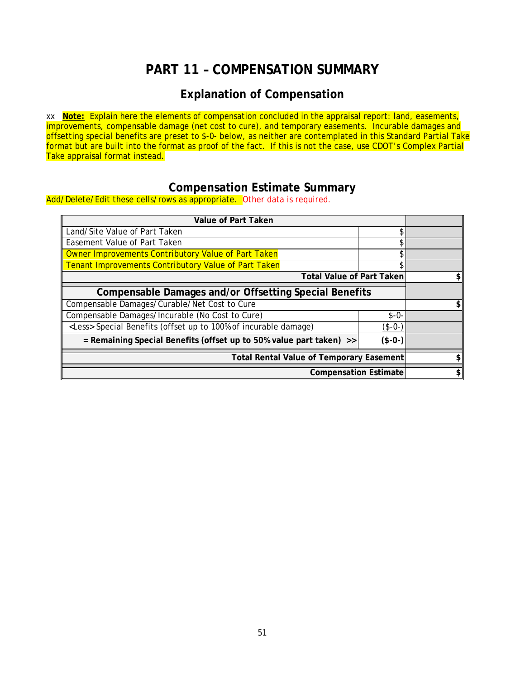## **PART 11 – COMPENSATION SUMMARY**

## **Explanation of Compensation**

<span id="page-56-1"></span><span id="page-56-0"></span>xx **Note:** Explain here the elements of compensation concluded in the appraisal report: land, easements, improvements, compensable damage (net cost to cure), and temporary easements. Incurable damages and offsetting special benefits are preset to \$-0- below, as neither are contemplated in this Standard Partial Take format but are built into the format as proof of the fact. If this is not the case, use CDOT's Complex Partial Take appraisal format instead.

## **Compensation Estimate Summary**

<span id="page-56-2"></span>Add/Delete/Edit these cells/rows as appropriate. Other data is required.

| Value of Part Taken                                                             |          |  |  |
|---------------------------------------------------------------------------------|----------|--|--|
| Land/Site Value of Part Taken                                                   |          |  |  |
| Easement Value of Part Taken                                                    |          |  |  |
| Owner Improvements Contributory Value of Part Taken                             |          |  |  |
| Tenant Improvements Contributory Value of Part Taken                            |          |  |  |
| <b>Total Value of Part Taken</b>                                                |          |  |  |
| Compensable Damages and/or Offsetting Special Benefits                          |          |  |  |
| Compensable Damages/Curable/Net Cost to Cure                                    |          |  |  |
| Compensable Damages/Incurable (No Cost to Cure)                                 | $$ -0-$  |  |  |
| <less> Special Benefits (offset up to 100% of incurable damage)</less>          | $($-0-)$ |  |  |
| = Remaining Special Benefits (offset up to 50% value part taken) >><br>$($-0-)$ |          |  |  |
| <b>Total Rental Value of Temporary Easement</b>                                 |          |  |  |
| <b>Compensation Estimate</b>                                                    |          |  |  |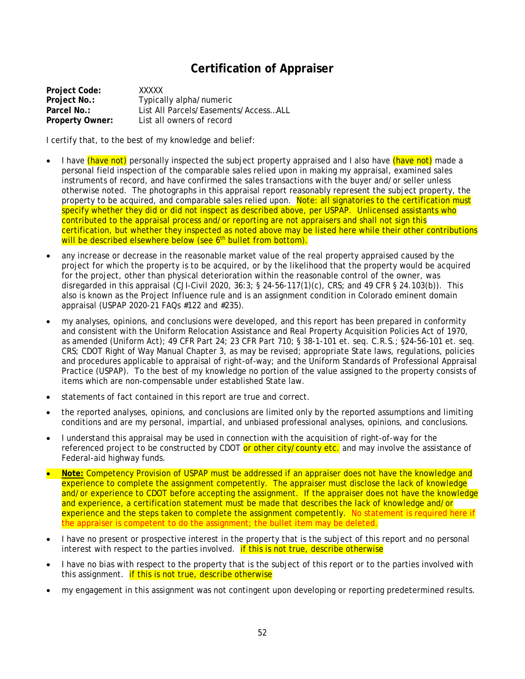## **Certification of Appraiser**

<span id="page-57-0"></span>**Project Code:** XXXXX **Project No.: Typically alpha/numeric**<br> **Parcel No.: List All Parcels/Easemen Parcel No.:** List All Parcels/Easements/Access…ALL **Property Owner:** List all owners of record

I certify that, to the best of my knowledge and belief:

- I have (have not) personally inspected the subject property appraised and I also have (have not) made a personal field inspection of the comparable sales relied upon in making my appraisal, examined sales instruments of record, and have confirmed the sales transactions with the buyer and/or seller unless otherwise noted. The photographs in this appraisal report reasonably represent the subject property, the property to be acquired, and comparable sales relied upon. Note: all signatories to the certification must specify whether they did or did not inspect as described above, per USPAP. Unlicensed assistants who contributed to the appraisal process and/or reporting are not appraisers and shall not sign this certification, but whether they inspected as noted above may be listed here while their other contributions will be described elsewhere below (see 6<sup>th</sup> bullet from bottom).
- any increase or decrease in the reasonable market value of the real property appraised caused by the project for which the property is to be acquired, or by the likelihood that the property would be acquired for the project, other than physical deterioration within the reasonable control of the owner, was disregarded in this appraisal (CJI-Civil 2020, 36:3; § 24-56-117(1)(c), CRS; and 49 CFR § 24.103(b)). This also is known as the *Project Influence* rule and is an assignment condition in Colorado eminent domain appraisal (USPAP 2020-21 FAQs #122 and #235).
- my analyses, opinions, and conclusions were developed, and this report has been prepared in conformity and consistent with the Uniform Relocation Assistance and Real Property Acquisition Policies Act of 1970, as amended (Uniform Act); 49 CFR Part 24; 23 CFR Part 710; § 38-1-101 et. seq. C.R.S.; §24-56-101 et. seq. CRS; CDOT Right of Way Manual Chapter 3, as may be revised; appropriate State laws, regulations, policies and procedures applicable to appraisal of right-of-way; and the Uniform Standards of Professional Appraisal Practice (USPAP). To the best of my knowledge no portion of the value assigned to the property consists of items which are non-compensable under established State law.
- statements of fact contained in this report are true and correct.
- the reported analyses, opinions, and conclusions are limited only by the reported assumptions and limiting conditions and are my personal, impartial, and unbiased professional analyses, opinions, and conclusions.
- I understand this appraisal may be used in connection with the acquisition of right-of-way for the referenced project to be constructed by CDOT or other city/county etc. and may involve the assistance of Federal-aid highway funds.
- **Note:** Competency Provision of USPAP must be addressed if an appraiser does not have the knowledge and experience to complete the assignment competently. The appraiser must disclose the lack of knowledge and/or experience to CDOT before accepting the assignment. If the appraiser does not have the knowledge and experience, a certification statement must be made that describes the lack of knowledge and/or experience and the steps taken to complete the assignment competently. No statement is required here if the appraiser is competent to do the assignment; the bullet item may be deleted.
- I have no present or prospective interest in the property that is the subject of this report and no personal interest with respect to the parties involved. **If this is not true, describe otherwise**
- I have no bias with respect to the property that is the subject of this report or to the parties involved with this assignment. **if this is not true, describe otherwise**
- my engagement in this assignment was not contingent upon developing or reporting predetermined results.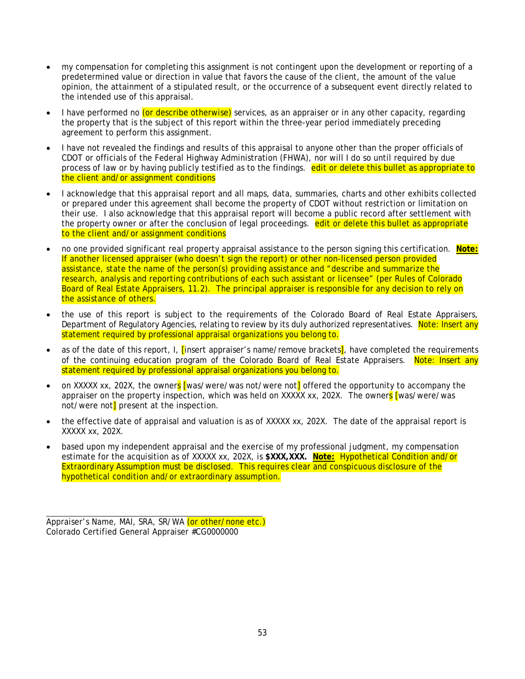- my compensation for completing this assignment is not contingent upon the development or reporting of a predetermined value or direction in value that favors the cause of the client, the amount of the value opinion, the attainment of a stipulated result, or the occurrence of a subsequent event directly related to the intended use of this appraisal.
- I have performed no (or describe otherwise) services, as an appraiser or in any other capacity, regarding the property that is the subject of this report within the three-year period immediately preceding agreement to perform this assignment.
- I have not revealed the findings and results of this appraisal to anyone other than the proper officials of CDOT or officials of the Federal Highway Administration (FHWA), nor will I do so until required by due process of law or by having publicly testified as to the findings. edit or delete this bullet as appropriate to the client and/or assignment conditions
- I acknowledge that this appraisal report and all maps, data, summaries, charts and other exhibits collected or prepared under this agreement shall become the property of CDOT without restriction or limitation on their use. I also acknowledge that this appraisal report will become a public record after settlement with the property owner or after the conclusion of legal proceedings. edit or delete this bullet as appropriate to the client and/or assignment conditions
- no one provided significant real property appraisal assistance to the person signing this certification. **Note:** If another licensed appraiser (who doesn't sign the report) or other non-licensed person provided assistance, state the name of the person(s) providing assistance and "describe and summarize the research, analysis and reporting contributions of each such assistant or licensee" (per Rules of Colorado Board of Real Estate Appraisers, 11.2). The principal appraiser is responsible for any decision to rely on the assistance of others.
- the use of this report is subject to the requirements of the Colorado Board of Real Estate Appraisers, Department of Regulatory Agencies, relating to review by its duly authorized representatives. Note: Insert any statement required by professional appraisal organizations you belong to.
- as of the date of this report, I,  $\overline{\text{I}}$  insert appraiser's name/remove brackets<sup>1</sup>, have completed the requirements of the continuing education program of the Colorado Board of Real Estate Appraisers. Note: Insert any statement required by professional appraisal organizations you belong to.
- on XXXXX xx, 202X, the owners [was/were/was not/were not] offered the opportunity to accompany the appraiser on the property inspection, which was held on XXXXX xx, 202X. The owners [was/were/was not/were not<sup>1</sup> present at the inspection.
- the effective date of appraisal and valuation is as of XXXXX xx, 202X. The date of the appraisal report is XXXXX xx, 202X.
- based upon my independent appraisal and the exercise of my professional judgment, my compensation estimate for the acquisition as of XXXXX xx, 202X, is **\$XXX,XXX. Note:** Hypothetical Condition and/or Extraordinary Assumption must be disclosed. This requires clear and conspicuous disclosure of the hypothetical condition and/or extraordinary assumption.

Appraiser's Name, MAI, SRA, SR/WA (or other/none etc.) Colorado Certified General Appraiser #CG0000000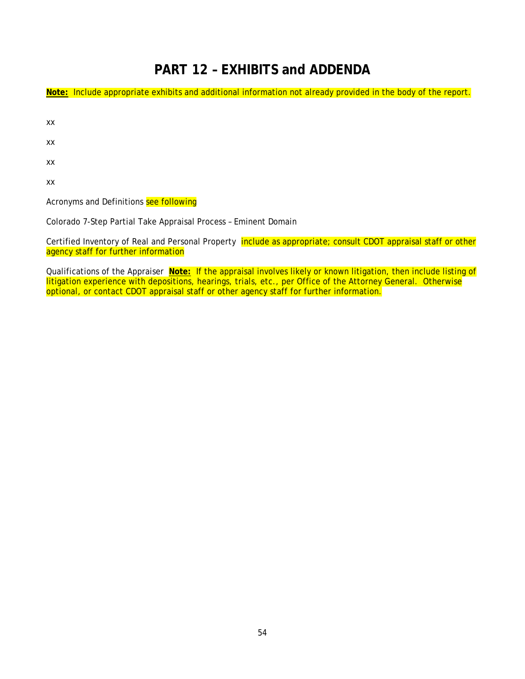## **PART 12 – EXHIBITS and ADDENDA**

<span id="page-59-0"></span>**Note:** Include appropriate exhibits and additional information not already provided in the body of the report.

xx

xx

xx

xx

Acronyms and Definitions see following

Colorado 7-Step Partial Take Appraisal Process – Eminent Domain

Certified Inventory of Real and Personal Property include as appropriate; consult CDOT appraisal staff or other agency staff for further information

Qualifications of the Appraiser **Note:** If the appraisal involves likely or known litigation, then include listing of litigation experience with depositions, hearings, trials, etc., per Office of the Attorney General. Otherwise optional, or contact CDOT appraisal staff or other agency staff for further information.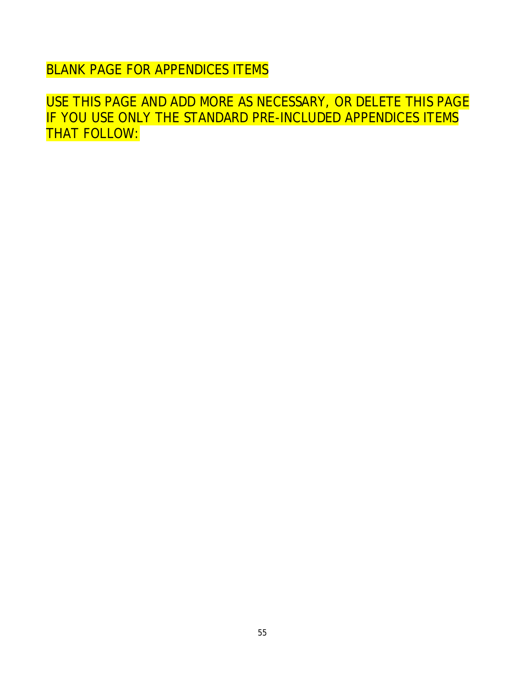BLANK PAGE FOR APPENDICES ITEMS

USE THIS PAGE AND ADD MORE AS NECESSARY, OR DELETE THIS PAGE IF YOU USE ONLY THE STANDARD PRE-INCLUDED APPENDICES ITEMS THAT FOLLOW: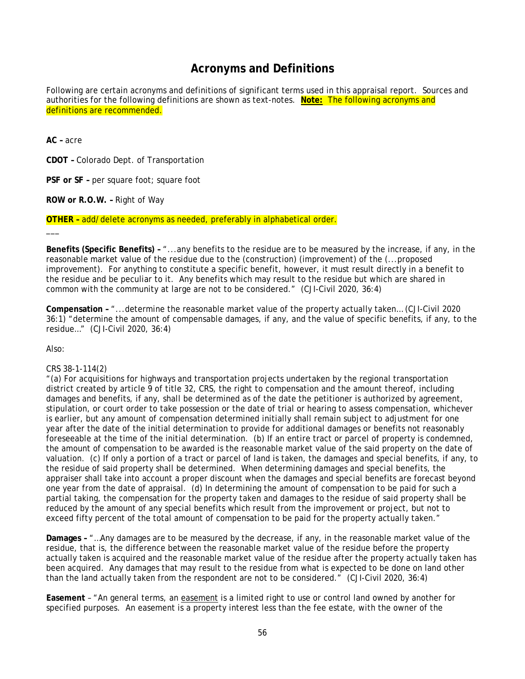## **Acronyms and Definitions**

<span id="page-61-0"></span>Following are certain acronyms and definitions of significant terms used in this appraisal report. Sources and authorities for the following definitions are shown as text-notes. **Note:** The following acronyms and definitions are recommended.

**AC –** acre

**CDOT –** Colorado Dept. of Transportation

**PSF or SF –** per square foot; square foot

**ROW or R.O.W. –** Right of Way

**OTHER –** add/delete acronyms as needed, preferably in alphabetical order.

**Benefits (Specific Benefits) –** "...any benefits to the residue are to be measured by the increase, if any, in the reasonable market value of the residue due to the (construction) (improvement) of the (...proposed improvement). For anything to constitute a specific benefit, however, it must result directly in a benefit to the residue and be peculiar to it. Any benefits which may result to the residue but which are shared in common with the community at large are not to be considered." (CJI-Civil 2020, 36:4)

**Compensation –** "...determine the reasonable market value of the property actually taken… (CJI-Civil 2020 36:1) "determine the amount of compensable damages, if any, and the value of specific benefits, if any, to the residue…" (CJI-Civil 2020, 36:4)

Also:

\_\_\_

#### CRS 38-1-114(2)

"(a) For acquisitions for highways and transportation projects undertaken by the regional transportation district created by article 9 of title 32, CRS, the right to compensation and the amount thereof, including damages and benefits, if any, shall be determined as of the date the petitioner is authorized by agreement, stipulation, or court order to take possession or the date of trial or hearing to assess compensation, whichever is earlier, but any amount of compensation determined initially shall remain subject to adjustment for one year after the date of the initial determination to provide for additional damages or benefits not reasonably foreseeable at the time of the initial determination. (b) If an entire tract or parcel of property is condemned, the amount of compensation to be awarded is the reasonable market value of the said property on the date of valuation. (c) If only a portion of a tract or parcel of land is taken, the damages and special benefits, if any, to the residue of said property shall be determined. When determining damages and special benefits, the appraiser shall take into account a proper discount when the damages and special benefits are forecast beyond one year from the date of appraisal. (d) In determining the amount of compensation to be paid for such a partial taking, the compensation for the property taken and damages to the residue of said property shall be reduced by the amount of any special benefits which result from the improvement or project, but not to exceed fifty percent of the total amount of compensation to be paid for the property actually taken."

**Damages –** "…Any damages are to be measured by the decrease, if any, in the reasonable market value of the residue, that is, the difference between the reasonable market value of the residue before the property actually taken is acquired and the reasonable market value of the residue after the property actually taken has been acquired. Any damages that may result to the residue from what is expected to be done on land other than the land actually taken from the respondent are not to be considered." (CJI-Civil 2020, 36:4)

**Easement** – "An general terms, an easement is a limited right to use or control land owned by another for specified purposes. An easement is a property interest less than the fee estate, with the owner of the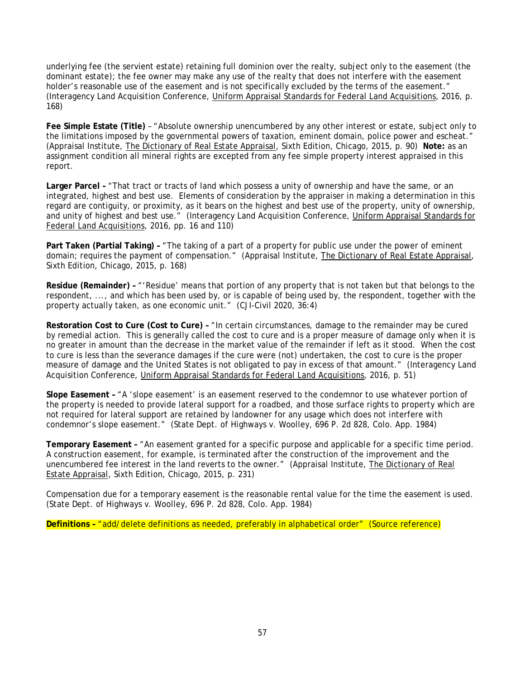underlying fee (the servient estate) retaining full dominion over the realty, subject only to the easement (the dominant estate); the fee owner may make any use of the realty that does not interfere with the easement holder's reasonable use of the easement and is not specifically excluded by the terms of the easement." (Interagency Land Acquisition Conference, Uniform Appraisal Standards for Federal Land Acquisitions, 2016, p. 168)

**Fee Simple Estate (Title)** – "Absolute ownership unencumbered by any other interest or estate, subject only to the limitations imposed by the governmental powers of taxation, eminent domain, police power and escheat." (Appraisal Institute, The Dictionary of Real Estate Appraisal, Sixth Edition, Chicago, 2015, p. 90) **Note:** as an assignment condition all mineral rights are excepted from any fee simple property interest appraised in this report.

**Larger Parcel –** "That tract or tracts of land which possess a unity of ownership and have the same, or an integrated, highest and best use. Elements of consideration by the appraiser in making a determination in this regard are contiguity, or proximity, as it bears on the highest and best use of the property, unity of ownership, and unity of highest and best use." (Interagency Land Acquisition Conference, Uniform Appraisal Standards for Federal Land Acquisitions, 2016, pp. 16 and 110)

**Part Taken (Partial Taking) –** "The taking of a part of a property for public use under the power of eminent domain; requires the payment of compensation." (Appraisal Institute, The Dictionary of Real Estate Appraisal, Sixth Edition, Chicago, 2015, p. 168)

**Residue (Remainder) –** "'Residue' means that portion of any property that is not taken but that belongs to the respondent, ..., and which has been used by, or is capable of being used by, the respondent, together with the property actually taken, as one economic unit." (CJI-Civil 2020, 36:4)

**Restoration Cost to Cure (Cost to Cure) –** "In certain circumstances, damage to the remainder may be cured by remedial action. This is generally called the cost to cure and is a proper measure of damage only when it is no greater in amount than the decrease in the market value of the remainder if left as it stood. When the cost to cure is less than the severance damages if the cure were (not) undertaken, the cost to cure is the proper measure of damage and the United States is not obligated to pay in excess of that amount." (Interagency Land Acquisition Conference, *Uniform Appraisal Standards for Federal Land Acquisitions, 2016, p. 51*)

**Slope Easement –** "A 'slope easement' is an easement reserved to the condemnor to use whatever portion of the property is needed to provide lateral support for a roadbed, and those surface rights to property which are not required for lateral support are retained by landowner for any usage which does not interfere with condemnor's slope easement." (State Dept. of Highways v. Woolley, 696 P. 2d 828, Colo. App. 1984)

**Temporary Easement –** "An easement granted for a specific purpose and applicable for a specific time period. A construction easement, for example, is terminated after the construction of the improvement and the unencumbered fee interest in the land reverts to the owner." (Appraisal Institute, The Dictionary of Real Estate Appraisal, Sixth Edition, Chicago, 2015, p. 231)

Compensation due for a temporary easement is the reasonable rental value for the time the easement is used. (State Dept. of Highways v. Woolley, 696 P. 2d 828, Colo. App. 1984)

**Definitions –** "add/delete definitions as needed, preferably in alphabetical order" (Source reference)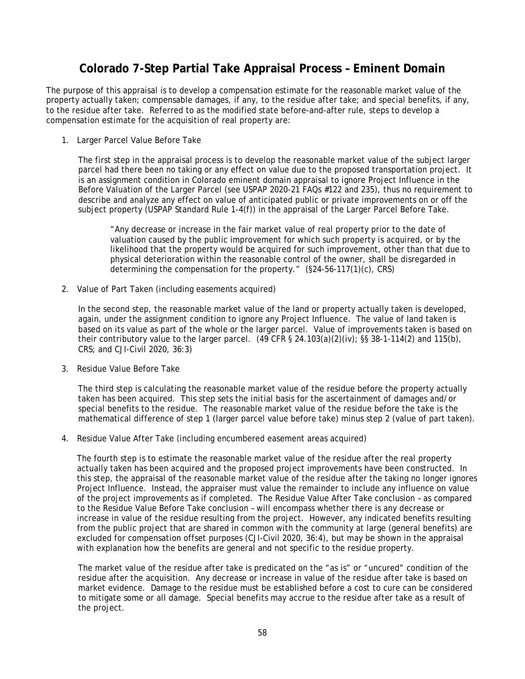## **Colorado 7-Step Partial Take Appraisal Process – Eminent Domain**

<span id="page-63-0"></span>The purpose of this appraisal is to develop a compensation estimate for the reasonable market value of the property actually taken; compensable damages, if any, to the residue after take; and special benefits, if any, to the residue after take. Referred to as the modified state before-and-after rule, steps to develop a compensation estimate for the acquisition of real property are:

1. Larger Parcel Value Before Take

The first step in the appraisal process is to develop the reasonable market value of the subject larger parcel had there been no taking or any effect on value due to the proposed transportation project. It is an assignment condition in Colorado eminent domain appraisal to ignore Project Influence in the Before Valuation of the Larger Parcel (see USPAP 2020-21 FAQs #122 and 235), thus no requirement to describe and analyze any effect on value of anticipated public or private improvements on or off the subject property (USPAP Standard Rule 1-4(f)) in the appraisal of the Larger Parcel Before Take.

"Any decrease or increase in the fair market value of real property prior to the date of valuation caused by the public improvement for which such property is acquired, or by the likelihood that the property would be acquired for such improvement, other than that due to physical deterioration within the reasonable control of the owner, shall be disregarded in determining the compensation for the property." (§24-56-117(1)(c), CRS)

2. Value of Part Taken (including easements acquired)

In the second step, the reasonable market value of the land or property actually taken is developed, again, under the assignment condition to ignore any Project Influence. The value of land taken is based on its value as part of the whole or the larger parcel. Value of improvements taken is based on their contributory value to the larger parcel.  $(49 \text{ CFR} \S 24.103(a)(2)(iv); \S\S 38-1-114(2)$  and 115(b), CRS; and CJI-Civil 2020, 36:3)

3. Residue Value Before Take

The third step is calculating the reasonable market value of the residue before the property actually taken has been acquired. This step sets the initial basis for the ascertainment of damages and/or special benefits to the residue. The reasonable market value of the residue before the take is the mathematical difference of step 1 (larger parcel value before take) minus step 2 (value of part taken).

4. Residue Value After Take (including encumbered easement areas acquired)

The fourth step is to estimate the reasonable market value of the residue after the real property actually taken has been acquired and the proposed project improvements have been constructed. In this step, the appraisal of the reasonable market value of the residue after the taking no longer ignores Project Influence. Instead, the appraiser must value the remainder to include any influence on value of the project improvements as if completed. The Residue Value After Take conclusion – as compared to the Residue Value Before Take conclusion – will encompass whether there is any decrease or increase in value of the residue resulting from the project. However, any indicated benefits resulting from the public project that are shared in common with the community at large (general benefits) are excluded for compensation offset purposes (CJI-Civil 2020, 36:4), but may be shown in the appraisal with explanation how the benefits are general and not specific to the residue property.

The market value of the residue after take is predicated on the "as is" or "uncured" condition of the residue after the acquisition. Any decrease or increase in value of the residue after take is based on market evidence. Damage to the residue must be established before a cost to cure can be considered to mitigate some or all damage. Special benefits may accrue to the residue after take as a result of the project.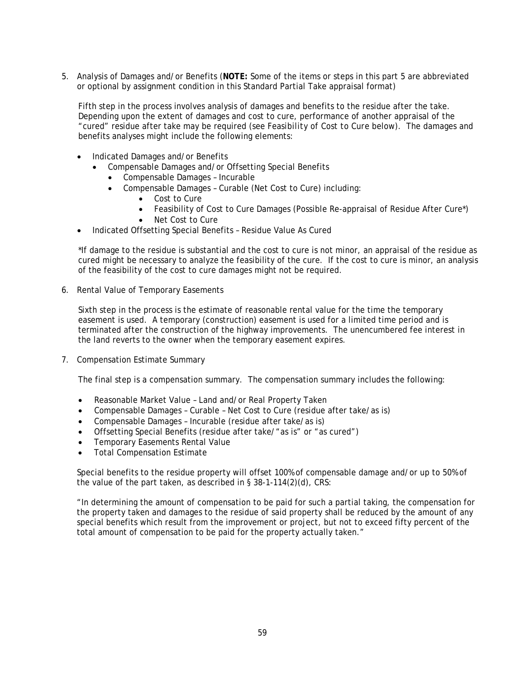5. Analysis of Damages and/or Benefits (**NOTE:** Some of the items or steps in this part 5 are abbreviated or optional by assignment condition in this Standard Partial Take appraisal format)

Fifth step in the process involves analysis of damages and benefits to the residue after the take. Depending upon the extent of damages and cost to cure, performance of another appraisal of the "cured" residue after take may be required (see *Feasibility of Cost to Cure* below). The damages and benefits analyses might include the following elements:

- Indicated Damages and/or Benefits
	- Compensable Damages and/or Offsetting Special Benefits
		- Compensable Damages Incurable
		- Compensable Damages Curable (Net Cost to Cure) including:
			- Cost to Cure
			- Feasibility of Cost to Cure Damages (Possible Re-appraisal of Residue After Cure\*)
			- Net Cost to Cure
- Indicated Offsetting Special Benefits Residue Value As Cured

\*If damage to the residue is substantial and the cost to cure is not minor, an appraisal of the residue as cured might be necessary to analyze the feasibility of the cure. If the cost to cure is minor, an analysis of the feasibility of the cost to cure damages might not be required.

6. Rental Value of Temporary Easements

Sixth step in the process is the estimate of reasonable rental value for the time the temporary easement is used. A temporary (construction) easement is used for a limited time period and is terminated after the construction of the highway improvements. The unencumbered fee interest in the land reverts to the owner when the temporary easement expires.

7. Compensation Estimate Summary

The final step is a compensation summary. The compensation summary includes the following:

- Reasonable Market Value Land and/or Real Property Taken
- Compensable Damages Curable Net Cost to Cure (residue after take/as is)
- Compensable Damages Incurable (residue after take/as is)
- Offsetting Special Benefits (residue after take/"as is" or "as cured")
- Temporary Easements Rental Value
- Total Compensation Estimate

Special benefits to the residue property will offset 100% of compensable damage and/or up to 50% of the value of the part taken, as described in § 38-1-114(2)(d), CRS:

"In determining the amount of compensation to be paid for such a partial taking, the compensation for the property taken and damages to the residue of said property shall be reduced by the amount of any special benefits which result from the improvement or project, but not to exceed fifty percent of the total amount of compensation to be paid for the property actually taken."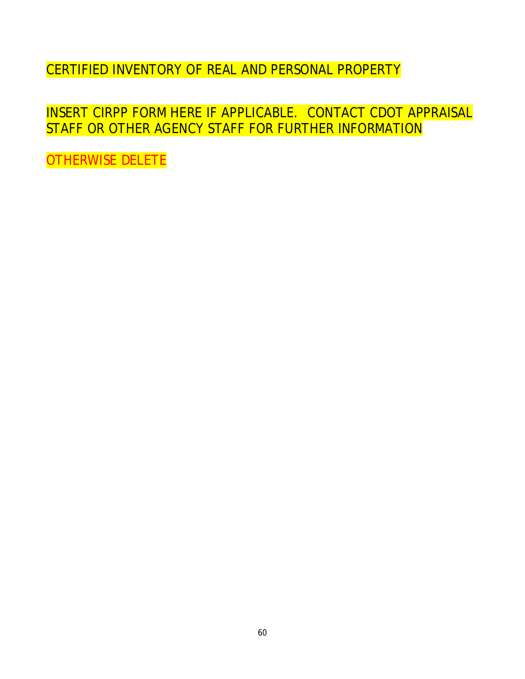CERTIFIED INVENTORY OF REAL AND PERSONAL PROPERTY

INSERT CIRPP FORM HERE IF APPLICABLE. CONTACT CDOT APPRAISAL STAFF OR OTHER AGENCY STAFF FOR FURTHER INFORMATION

OTHERWISE DELETE